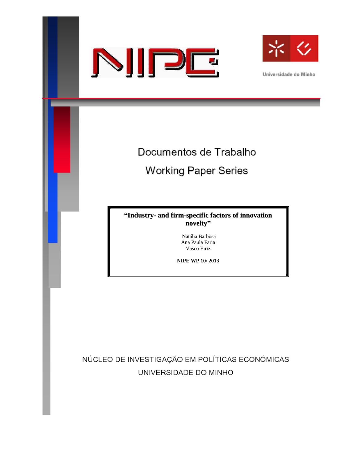

I



Universidade do Minho

# Documentos de Trabalho **Working Paper Series**

**"Industry- and firm-specific factors of innovation novelty"**

> Natália Barbosa Ana Paula Faria Vasco Eiriz

**NIPE WP 10/ 2013**

NÚCLEO DE INVESTIGAÇÃO EM POLÍTICAS ECONÓMICAS UNIVERSIDADE DO MINHO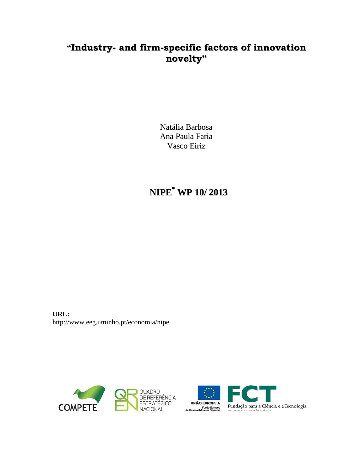### **"Industry- and firm-specific factors of innovation novelty"**

Natália Barbosa Ana Paula Faria Vasco Eiriz

### **NIPE \* WP 10/ 2013**

**URL:** http://www.eeg.uminho.pt/economia/nipe



 $\overline{a}$ 

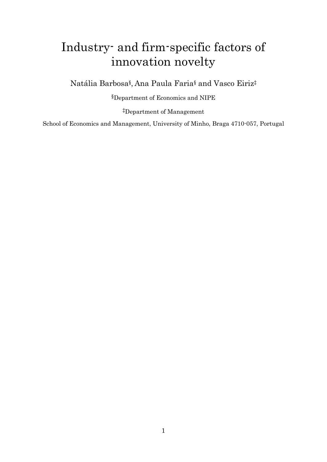## Industry- and firm-specific factors of innovation novelty

Natália Barbosa§ , Ana Paula Faria§ and Vasco Eiriz‡

§Department of Economics and NIPE

‡Department of Management

School of Economics and Management, University of Minho, Braga 4710-057, Portugal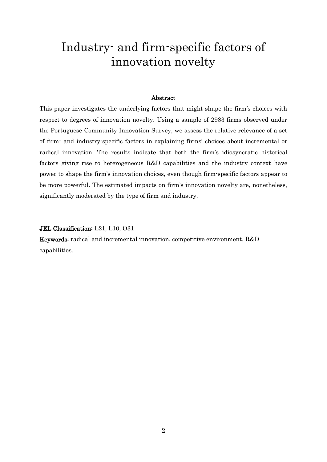## Industry- and firm-specific factors of innovation novelty

#### Abstract

This paper investigates the underlying factors that might shape the firm's choices with respect to degrees of innovation novelty. Using a sample of 2983 firms observed under the Portuguese Community Innovation Survey, we assess the relative relevance of a set of firm- and industry-specific factors in explaining firms' choices about incremental or radical innovation. The results indicate that both the firm's idiosyncratic historical factors giving rise to heterogeneous R&D capabilities and the industry context have power to shape the firm's innovation choices, even though firm-specific factors appear to be more powerful. The estimated impacts on firm's innovation novelty are, nonetheless, significantly moderated by the type of firm and industry.

#### JEL Classification: L21, L10, O31

Keywords: radical and incremental innovation, competitive environment, R&D capabilities.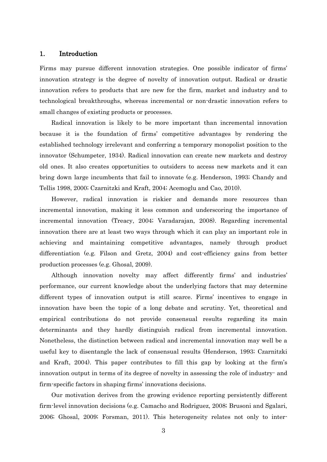#### 1. Introduction

Firms may pursue different innovation strategies. One possible indicator of firms' innovation strategy is the degree of novelty of innovation output. Radical or drastic innovation refers to products that are new for the firm, market and industry and to technological breakthroughs, whereas incremental or non-drastic innovation refers to small changes of existing products or processes.

Radical innovation is likely to be more important than incremental innovation because it is the foundation of firms' competitive advantages by rendering the established technology irrelevant and conferring a temporary monopolist position to the innovator (Schumpeter, 1934). Radical innovation can create new markets and destroy old ones. It also creates opportunities to outsiders to access new markets and it can bring down large incumbents that fail to innovate (e.g. Henderson, 1993; Chandy and Tellis 1998, 2000; Czarnitzki and Kraft, 2004; Acemoglu and Cao, 2010).

However, radical innovation is riskier and demands more resources than incremental innovation, making it less common and underscoring the importance of incremental innovation (Treacy, 2004; Varadarajan, 2008). Regarding incremental innovation there are at least two ways through which it can play an important role in achieving and maintaining competitive advantages, namely through product differentiation (e.g. Filson and Gretz, 2004) and cost-efficiency gains from better production processes (e.g. Ghosal, 2009).

Although innovation novelty may affect differently firms' and industries' performance, our current knowledge about the underlying factors that may determine different types of innovation output is still scarce. Firms' incentives to engage in innovation have been the topic of a long debate and scrutiny. Yet, theoretical and empirical contributions do not provide consensual results regarding its main determinants and they hardly distinguish radical from incremental innovation. Nonetheless, the distinction between radical and incremental innovation may well be a useful key to disentangle the lack of consensual results (Henderson, 1993; Czarnitzki and Kraft, 2004). This paper contributes to fill this gap by looking at the firm's innovation output in terms of its degree of novelty in assessing the role of industry- and firm-specific factors in shaping firms' innovations decisions.

Our motivation derives from the growing evidence reporting persistently different firm-level innovation decisions (e.g. Camacho and Rodriguez, 2008; Brusoni and Sgalari, 2006; Ghosal, 2009; Forsman, 2011). This heterogeneity relates not only to inter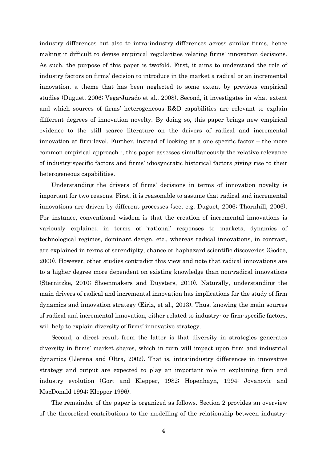industry differences but also to intra-industry differences across similar firms, hence making it difficult to devise empirical regularities relating firms' innovation decisions. As such, the purpose of this paper is twofold. First, it aims to understand the role of industry factors on firms' decision to introduce in the market a radical or an incremental innovation, a theme that has been neglected to some extent by previous empirical studies (Duguet, 2006; Vega-Jurado et al., 2008). Second, it investigates in what extent and which sources of firms' heterogeneous R&D capabilities are relevant to explain different degrees of innovation novelty. By doing so, this paper brings new empirical evidence to the still scarce literature on the drivers of radical and incremental innovation at firm-level. Further, instead of looking at a one specific factor – the more common empirical approach -, this paper assesses simultaneously the relative relevance of industry-specific factors and firms' idiosyncratic historical factors giving rise to their heterogeneous capabilities.

Understanding the drivers of firms' decisions in terms of innovation novelty is important for two reasons. First, it is reasonable to assume that radical and incremental innovations are driven by different processes (see, e.g. Duguet, 2006; Thornhill, 2006). For instance, conventional wisdom is that the creation of incremental innovations is variously explained in terms of 'rational' responses to markets, dynamics of technological regimes, dominant design, etc., whereas radical innovations, in contrast, are explained in terms of serendipity, chance or haphazard scientific discoveries (Godoe, 2000). However, other studies contradict this view and note that radical innovations are to a higher degree more dependent on existing knowledge than non-radical innovations (Sternitzke, 2010; Shoenmakers and Duysters, 2010). Naturally, understanding the main drivers of radical and incremental innovation has implications for the study of firm dynamics and innovation strategy (Eiriz, et al., 2013). Thus, knowing the main sources of radical and incremental innovation, either related to industry- or firm-specific factors, will help to explain diversity of firms' innovative strategy.

Second, a direct result from the latter is that diversity in strategies generates diversity in firms' market shares, which in turn will impact upon firm and industrial dynamics (Llerena and Oltra, 2002). That is, intra-industry differences in innovative strategy and output are expected to play an important role in explaining firm and industry evolution (Gort and Klepper, 1982; Hopenhayn, 1994; Jovanovic and MacDonald 1994; Klepper 1996).

The remainder of the paper is organized as follows. Section 2 provides an overview of the theoretical contributions to the modelling of the relationship between industry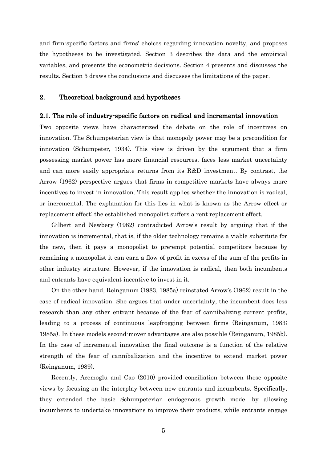and firm-specific factors and firms' choices regarding innovation novelty, and proposes the hypotheses to be investigated. Section 3 describes the data and the empirical variables, and presents the econometric decisions. Section 4 presents and discusses the results. Section 5 draws the conclusions and discusses the limitations of the paper.

#### 2. Theoretical background and hypotheses

#### 2.1. The role of industry-specific factors on radical and incremental innovation

Two opposite views have characterized the debate on the role of incentives on innovation. The Schumpeterian view is that monopoly power may be a precondition for innovation (Schumpeter, 1934). This view is driven by the argument that a firm possessing market power has more financial resources, faces less market uncertainty and can more easily appropriate returns from its R&D investment. By contrast, the Arrow (1962) perspective argues that firms in competitive markets have always more incentives to invest in innovation. This result applies whether the innovation is radical, or incremental. The explanation for this lies in what is known as the Arrow effect or replacement effect: the established monopolist suffers a rent replacement effect.

Gilbert and Newbery (1982) contradicted Arrow's result by arguing that if the innovation is incremental, that is, if the older technology remains a viable substitute for the new, then it pays a monopolist to pre-empt potential competitors because by remaining a monopolist it can earn a flow of profit in excess of the sum of the profits in other industry structure. However, if the innovation is radical, then both incumbents and entrants have equivalent incentive to invest in it.

On the other hand, Reinganum (1983, 1985a) reinstated Arrow's (1962) result in the case of radical innovation. She argues that under uncertainty, the incumbent does less research than any other entrant because of the fear of cannibalizing current profits, leading to a process of continuous leapfrogging between firms (Reinganum, 1983; 1985a). In these models second-mover advantages are also possible (Reinganum, 1985b). In the case of incremental innovation the final outcome is a function of the relative strength of the fear of cannibalization and the incentive to extend market power (Reinganum, 1989).

Recently, Acemoglu and Cao (2010) provided conciliation between these opposite views by focusing on the interplay between new entrants and incumbents. Specifically, they extended the basic Schumpeterian endogenous growth model by allowing incumbents to undertake innovations to improve their products, while entrants engage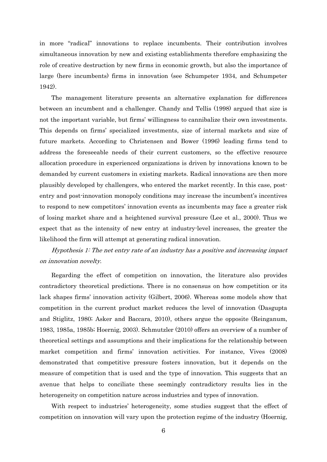in more "radical" innovations to replace incumbents. Their contribution involves simultaneous innovation by new and existing establishments therefore emphasizing the role of creative destruction by new firms in economic growth, but also the importance of large (here incumbents) firms in innovation (see Schumpeter 1934, and Schumpeter 1942).

The management literature presents an alternative explanation for differences between an incumbent and a challenger. Chandy and Tellis (1998) argued that size is not the important variable, but firms' willingness to cannibalize their own investments. This depends on firms' specialized investments, size of internal markets and size of future markets. According to Christensen and Bower (1996) leading firms tend to address the foreseeable needs of their current customers, so the effective resource allocation procedure in experienced organizations is driven by innovations known to be demanded by current customers in existing markets. Radical innovations are then more plausibly developed by challengers, who entered the market recently. In this case, postentry and post-innovation monopoly conditions may increase the incumbent's incentives to respond to new competitors' innovation events as incumbents may face a greater risk of losing market share and a heightened survival pressure (Lee et al., 2000). Thus we expect that as the intensity of new entry at industry-level increases, the greater the likelihood the firm will attempt at generating radical innovation.

Hypothesis 1: The net entry rate of an industry has a positive and increasing impact on innovation novelty.

Regarding the effect of competition on innovation, the literature also provides contradictory theoretical predictions. There is no consensus on how competition or its lack shapes firms' innovation activity (Gilbert, 2006). Whereas some models show that competition in the current product market reduces the level of innovation (Dasgupta and Stiglitz, 1980; Asker and Baccara, 2010), others argue the opposite (Reinganum, 1983, 1985a, 1985b; Hoernig, 2003). Schmutzler (2010) offers an overview of a number of theoretical settings and assumptions and their implications for the relationship between market competition and firms' innovation activities. For instance, Vives (2008) demonstrated that competitive pressure fosters innovation, but it depends on the measure of competition that is used and the type of innovation. This suggests that an avenue that helps to conciliate these seemingly contradictory results lies in the heterogeneity on competition nature across industries and types of innovation.

With respect to industries' heterogeneity, some studies suggest that the effect of competition on innovation will vary upon the protection regime of the industry (Hoernig,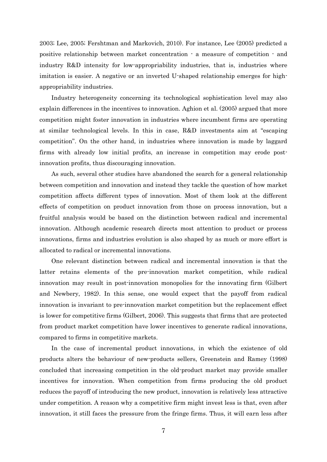2003; Lee, 2005; Fershtman and Markovich, 2010). For instance, Lee (2005) predicted a positive relationship between market concentration - a measure of competition - and industry R&D intensity for low-appropriability industries, that is, industries where imitation is easier. A negative or an inverted U-shaped relationship emerges for highappropriability industries.

Industry heterogeneity concerning its technological sophistication level may also explain differences in the incentives to innovation. Aghion et al. (2005) argued that more competition might foster innovation in industries where incumbent firms are operating at similar technological levels. In this in case, R&D investments aim at "escaping competition". On the other hand, in industries where innovation is made by laggard firms with already low initial profits, an increase in competition may erode postinnovation profits, thus discouraging innovation.

As such, several other studies have abandoned the search for a general relationship between competition and innovation and instead they tackle the question of how market competition affects different types of innovation. Most of them look at the different effects of competition on product innovation from those on process innovation, but a fruitful analysis would be based on the distinction between radical and incremental innovation. Although academic research directs most attention to product or process innovations, firms and industries evolution is also shaped by as much or more effort is allocated to radical or incremental innovations.

One relevant distinction between radical and incremental innovation is that the latter retains elements of the pre-innovation market competition, while radical innovation may result in post-innovation monopolies for the innovating firm (Gilbert and Newbery, 1982). In this sense, one would expect that the payoff from radical innovation is invariant to pre-innovation market competition but the replacement effect is lower for competitive firms (Gilbert, 2006). This suggests that firms that are protected from product market competition have lower incentives to generate radical innovations, compared to firms in competitive markets.

In the case of incremental product innovations, in which the existence of old products alters the behaviour of new-products sellers, Greenstein and Ramey (1998) concluded that increasing competition in the old-product market may provide smaller incentives for innovation. When competition from firms producing the old product reduces the payoff of introducing the new product, innovation is relatively less attractive under competition. A reason why a competitive firm might invest less is that, even after innovation, it still faces the pressure from the fringe firms. Thus, it will earn less after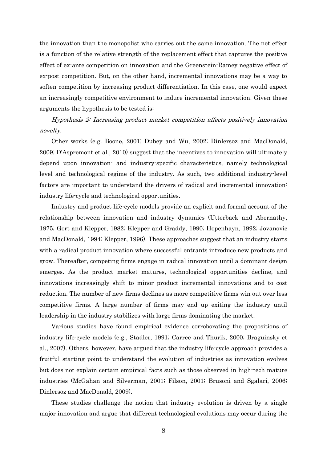the innovation than the monopolist who carries out the same innovation. The net effect is a function of the relative strength of the replacement effect that captures the positive effect of ex-ante competition on innovation and the Greenstein-Ramey negative effect of ex-post competition. But, on the other hand, incremental innovations may be a way to soften competition by increasing product differentiation. In this case, one would expect an increasingly competitive environment to induce incremental innovation. Given these arguments the hypothesis to be tested is:

Hypothesis 2: Increasing product market competition affects positively innovation novelty.

Other works (e.g. Boone, 2001; Dubey and Wu, 2002; Dinlersoz and MacDonald, 2009; D'Aspremont et al., 2010) suggest that the incentives to innovation will ultimately depend upon innovation- and industry-specific characteristics, namely technological level and technological regime of the industry. As such, two additional industry-level factors are important to understand the drivers of radical and incremental innovation: industry life-cycle and technological opportunities.

Industry and product life-cycle models provide an explicit and formal account of the relationship between innovation and industry dynamics (Utterback and Abernathy, 1975; Gort and Klepper, 1982; Klepper and Graddy, 1990; Hopenhayn, 1992; Jovanovic and MacDonald, 1994; Klepper, 1996). These approaches suggest that an industry starts with a radical product innovation where successful entrants introduce new products and grow. Thereafter, competing firms engage in radical innovation until a dominant design emerges. As the product market matures, technological opportunities decline, and innovations increasingly shift to minor product incremental innovations and to cost reduction. The number of new firms declines as more competitive firms win out over less competitive firms. A large number of firms may end up exiting the industry until leadership in the industry stabilizes with large firms dominating the market.

Various studies have found empirical evidence corroborating the propositions of industry life-cycle models (e.g., Stadler, 1991; Carree and Thurik, 2000; Braguinsky et al., 2007). Others, however, have argued that the industry life-cycle approach provides a fruitful starting point to understand the evolution of industries as innovation evolves but does not explain certain empirical facts such as those observed in high-tech mature industries (McGahan and Silverman, 2001; Filson, 2001; Brusoni and Sgalari, 2006; Dinlersoz and MacDonald, 2009).

These studies challenge the notion that industry evolution is driven by a single major innovation and argue that different technological evolutions may occur during the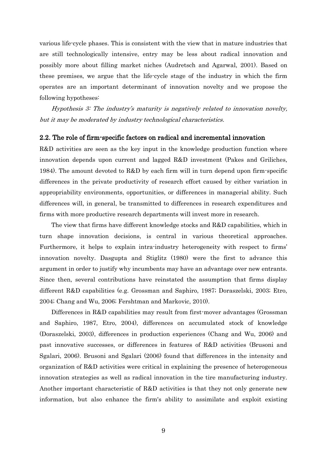various life-cycle phases. This is consistent with the view that in mature industries that are still technologically intensive, entry may be less about radical innovation and possibly more about filling market niches (Audretsch and Agarwal, 2001). Based on these premises, we argue that the life-cycle stage of the industry in which the firm operates are an important determinant of innovation novelty and we propose the following hypotheses:

Hypothesis 3: The industry's maturity is negatively related to innovation novelty, but it may be moderated by industry technological characteristics.

#### 2.2. The role of firm-specific factors on radical and incremental innovation

R&D activities are seen as the key input in the knowledge production function where innovation depends upon current and lagged R&D investment (Pakes and Griliches, 1984). The amount devoted to R&D by each firm will in turn depend upon firm-specific differences in the private productivity of research effort caused by either variation in appropriability environments, opportunities, or differences in managerial ability. Such differences will, in general, be transmitted to differences in research expenditures and firms with more productive research departments will invest more in research.

The view that firms have different knowledge stocks and R&D capabilities, which in turn shape innovation decisions, is central in various theoretical approaches. Furthermore, it helps to explain intra-industry heterogeneity with respect to firms' innovation novelty. Dasgupta and Stiglitz (1980) were the first to advance this argument in order to justify why incumbents may have an advantage over new entrants. Since then, several contributions have reinstated the assumption that firms display different R&D capabilities (e.g. Grossman and Saphiro, 1987; Doraszelski, 2003; Etro, 2004; Chang and Wu, 2006; Fershtman and Markovic, 2010).

Differences in R&D capabilities may result from first-mover advantages (Grossman and Saphiro, 1987, Etro, 2004), differences on accumulated stock of knowledge (Doraszelski, 2003), differences in production experiences (Chang and Wu, 2006) and past innovative successes, or differences in features of R&D activities (Brusoni and Sgalari, 2006). Brusoni and Sgalari (2006) found that differences in the intensity and organization of R&D activities were critical in explaining the presence of heterogeneous innovation strategies as well as radical innovation in the tire manufacturing industry. Another important characteristic of R&D activities is that they not only generate new information, but also enhance the firm's ability to assimilate and exploit existing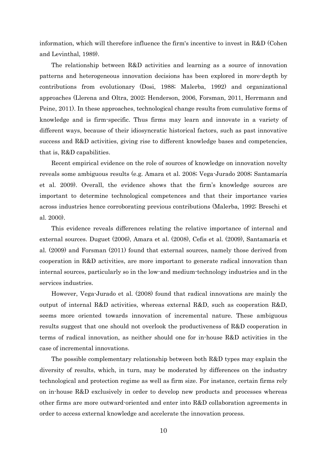information, which will therefore influence the firm's incentive to invest in R&D (Cohen and Levinthal, 1989).

The relationship between R&D activities and learning as a source of innovation patterns and heterogeneous innovation decisions has been explored in more-depth by contributions from evolutionary (Dosi, 1988; Malerba, 1992) and organizational approaches (Llerena and Oltra, 2002; Henderson, 2006, Forsman, 2011, Herrmann and Peine, 2011). In these approaches, technological change results from cumulative forms of knowledge and is firm-specific. Thus firms may learn and innovate in a variety of different ways, because of their idiosyncratic historical factors, such as past innovative success and R&D activities, giving rise to different knowledge bases and competencies, that is, R&D capabilities.

Recent empirical evidence on the role of sources of knowledge on innovation novelty reveals some ambiguous results (e.g. Amara et al. 2008; Vega-Jurado 2008; Santamaría et al. 2009). Overall, the evidence shows that the firm's knowledge sources are important to determine technological competences and that their importance varies across industries hence corroborating previous contributions (Malerba, 1992; Breschi et al. 2000).

This evidence reveals differences relating the relative importance of internal and external sources. Duguet (2006), Amara et al. (2008), Cefis et al. (2009), Santamaría et al. (2009) and Forsman (2011) found that external sources, namely those derived from cooperation in R&D activities, are more important to generate radical innovation than internal sources, particularly so in the low-and medium-technology industries and in the services industries.

However, Vega-Jurado et al. (2008) found that radical innovations are mainly the output of internal R&D activities, whereas external R&D, such as cooperation R&D, seems more oriented towards innovation of incremental nature. These ambiguous results suggest that one should not overlook the productiveness of R&D cooperation in terms of radical innovation, as neither should one for in-house R&D activities in the case of incremental innovations.

The possible complementary relationship between both R&D types may explain the diversity of results, which, in turn, may be moderated by differences on the industry technological and protection regime as well as firm size. For instance, certain firms rely on in-house R&D exclusively in order to develop new products and processes whereas other firms are more outward-oriented and enter into R&D collaboration agreements in order to access external knowledge and accelerate the innovation process.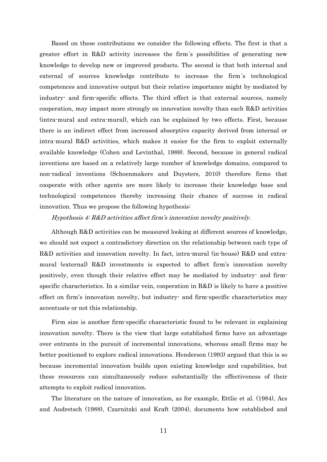Based on these contributions we consider the following effects. The first is that a greater effort in R&D activity increases the firm´s possibilities of generating new knowledge to develop new or improved products. The second is that both internal and external of sources knowledge contribute to increase the firm´s technological competences and innovative output but their relative importance might by mediated by industry- and firm-specific effects. The third effect is that external sources, namely cooperation, may impact more strongly on innovation novelty than each R&D activities (intra-mural and extra-mural), which can be explained by two effects. First, because there is an indirect effect from increased absorptive capacity derived from internal or intra-mural R&D activities, which makes it easier for the firm to exploit externally available knowledge (Cohen and Levinthal, 1989). Second, because in general radical inventions are based on a relatively large number of knowledge domains, compared to non-radical inventions (Schoenmakers and Duysters, 2010) therefore firms that cooperate with other agents are more likely to increase their knowledge base and technological competences thereby increasing their chance of success in radical innovation. Thus we propose the following hypothesis:

#### Hypothesis 4: R&D activities affect firm's innovation novelty positively.

Although R&D activities can be measured looking at different sources of knowledge, we should not expect a contradictory direction on the relationship between each type of R&D activities and innovation novelty. In fact, intra-mural (in-house) R&D and extramural (external) R&D investments is expected to affect firm's innovation novelty positively, even though their relative effect may be mediated by industry- and firmspecific characteristics. In a similar vein, cooperation in R&D is likely to have a positive effect on firm's innovation novelty, but industry- and firm-specific characteristics may accentuate or not this relationship.

Firm size is another firm-specific characteristic found to be relevant in explaining innovation novelty. There is the view that large established firms have an advantage over entrants in the pursuit of incremental innovations, whereas small firms may be better positioned to explore radical innovations. Henderson (1993) argued that this is so because incremental innovation builds upon existing knowledge and capabilities, but these resources can simultaneously reduce substantially the effectiveness of their attempts to exploit radical innovation.

The literature on the nature of innovation, as for example, Ettlie et al. (1984), Acs and Audretsch (1988), Czarnitzki and Kraft (2004), documents how established and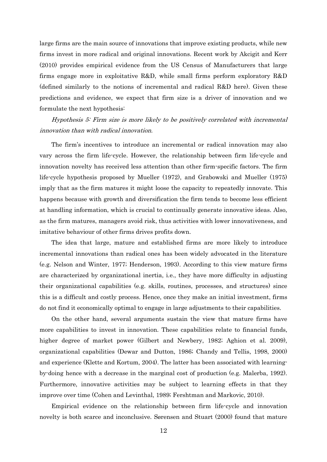large firms are the main source of innovations that improve existing products, while new firms invest in more radical and original innovations. Recent work by Akcigit and Kerr (2010) provides empirical evidence from the US Census of Manufacturers that large firms engage more in exploitative R&D, while small firms perform exploratory R&D (defined similarly to the notions of incremental and radical R&D here). Given these predictions and evidence, we expect that firm size is a driver of innovation and we formulate the next hypothesis:

Hypothesis 5: Firm size is more likely to be positively correlated with incremental innovation than with radical innovation.

The firm's incentives to introduce an incremental or radical innovation may also vary across the firm life-cycle. However, the relationship between firm life-cycle and innovation novelty has received less attention than other firm-specific factors. The firm life-cycle hypothesis proposed by Mueller (1972), and Grabowski and Mueller (1975) imply that as the firm matures it might loose the capacity to repeatedly innovate. This happens because with growth and diversification the firm tends to become less efficient at handling information, which is crucial to continually generate innovative ideas. Also, as the firm matures, managers avoid risk, thus activities with lower innovativeness, and imitative behaviour of other firms drives profits down.

The idea that large, mature and established firms are more likely to introduce incremental innovations than radical ones has been widely advocated in the literature (e.g. Nelson and Winter, 1977; Henderson, 1993). According to this view mature firms are characterized by organizational inertia, i.e., they have more difficulty in adjusting their organizational capabilities (e.g. skills, routines, processes, and structures) since this is a difficult and costly process. Hence, once they make an initial investment, firms do not find it economically optimal to engage in large adjustments to their capabilities.

On the other hand, several arguments sustain the view that mature firms have more capabilities to invest in innovation. These capabilities relate to financial funds, higher degree of market power (Gilbert and Newbery, 1982; Aghion et al. 2009), organizational capabilities (Dewar and Dutton, 1986; Chandy and Tellis, 1998, 2000) and experience (Klette and Kortum, 2004). The latter has been associated with learningby-doing hence with a decrease in the marginal cost of production (e.g. Malerba, 1992). Furthermore, innovative activities may be subject to learning effects in that they improve over time (Cohen and Levinthal, 1989; Fershtman and Markovic, 2010).

Empirical evidence on the relationship between firm life-cycle and innovation novelty is both scarce and inconclusive. Sørensen and Stuart (2000) found that mature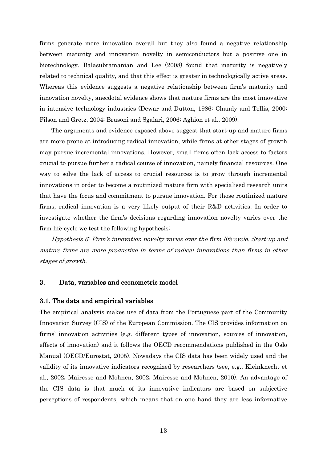firms generate more innovation overall but they also found a negative relationship between maturity and innovation novelty in semiconductors but a positive one in biotechnology. Balasubramanian and Lee (2008) found that maturity is negatively related to technical quality, and that this effect is greater in technologically active areas. Whereas this evidence suggests a negative relationship between firm's maturity and innovation novelty, anecdotal evidence shows that mature firms are the most innovative in intensive technology industries (Dewar and Dutton, 1986; Chandy and Tellis, 2000; Filson and Gretz, 2004; Brusoni and Sgalari, 2006; Aghion et al., 2009).

The arguments and evidence exposed above suggest that start-up and mature firms are more prone at introducing radical innovation, while firms at other stages of growth may pursue incremental innovations. However, small firms often lack access to factors crucial to pursue further a radical course of innovation, namely financial resources. One way to solve the lack of access to crucial resources is to grow through incremental innovations in order to become a routinized mature firm with specialised research units that have the focus and commitment to pursue innovation. For those routinized mature firms, radical innovation is a very likely output of their R&D activities. In order to investigate whether the firm's decisions regarding innovation novelty varies over the firm life-cycle we test the following hypothesis:

Hypothesis 6: Firm's innovation novelty varies over the firm life-cycle. Start-up and mature firms are more productive in terms of radical innovations than firms in other stages of growth.

#### 3. Data, variables and econometric model

#### 3.1. The data and empirical variables

The empirical analysis makes use of data from the Portuguese part of the Community Innovation Survey (CIS) of the European Commission. The CIS provides information on firms' innovation activities (e.g. different types of innovation, sources of innovation, effects of innovation) and it follows the OECD recommendations published in the Oslo Manual (OECD/Eurostat, 2005). Nowadays the CIS data has been widely used and the validity of its innovative indicators recognized by researchers (see, e.g., Kleinknecht et al., 2002; Mairesse and Mohnen, 2002; Mairesse and Mohnen, 2010). An advantage of the CIS data is that much of its innovative indicators are based on subjective perceptions of respondents, which means that on one hand they are less informative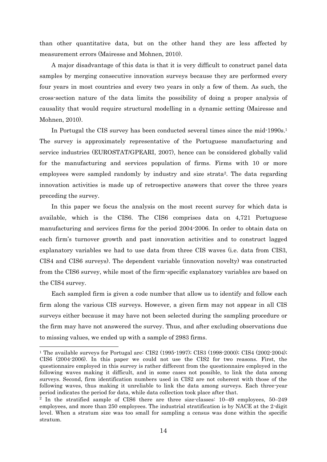than other quantitative data, but on the other hand they are less affected by measurement errors (Mairesse and Mohnen, 2010).

A major disadvantage of this data is that it is very difficult to construct panel data samples by merging consecutive innovation surveys because they are performed every four years in most countries and every two years in only a few of them. As such, the cross-section nature of the data limits the possibility of doing a proper analysis of causality that would require structural modelling in a dynamic setting (Mairesse and Mohnen, 2010).

In Portugal the CIS survey has been conducted several times since the mid-1990s. 1 The survey is approximately representative of the Portuguese manufacturing and service industries (EUROSTAT/GPEARI, 2007), hence can be considered globally valid for the manufacturing and services population of firms. Firms with 10 or more employees were sampled randomly by industry and size strata<sup>2</sup>. The data regarding innovation activities is made up of retrospective answers that cover the three years preceding the survey.

In this paper we focus the analysis on the most recent survey for which data is available, which is the CIS6. The CIS6 comprises data on 4,721 Portuguese manufacturing and services firms for the period 2004-2006. In order to obtain data on each firm's turnover growth and past innovation activities and to construct lagged explanatory variables we had to use data from three CIS waves (i.e. data from CIS3, CIS4 and CIS6 surveys). The dependent variable (innovation novelty) was constructed from the CIS6 survey, while most of the firm-specific explanatory variables are based on the CIS4 survey.

Each sampled firm is given a code number that allow us to identify and follow each firm along the various CIS surveys. However, a given firm may not appear in all CIS surveys either because it may have not been selected during the sampling procedure or the firm may have not answered the survey. Thus, and after excluding observations due to missing values, we ended up with a sample of 2983 firms.

 $\overline{a}$ 

<sup>&</sup>lt;sup>1</sup> The available surveys for Portugal are: CIS2 (1995-1997); CIS3 (1998-2000); CIS4 (2002-2004); CIS6 (2004-2006). In this paper we could not use the CIS2 for two reasons. First, the questionnaire employed in this survey is rather different from the questionnaire employed in the following waves making it difficult, and in some cases not possible, to link the data among surveys. Second, firm identification numbers used in CIS2 are not coherent with those of the following waves, thus making it unreliable to link the data among surveys. Each three-year period indicates the period for data, while data collection took place after that.

<sup>2</sup> In the stratified sample of CIS6 there are three size-classes: 10–49 employees, 50–249 employees, and more than 250 employees. The industrial stratification is by NACE at the 2-digit level. When a stratum size was too small for sampling a census was done within the specific stratum.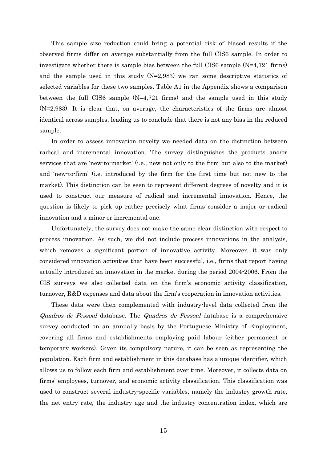This sample size reduction could bring a potential risk of biased results if the observed firms differ on average substantially from the full CIS6 sample. In order to investigate whether there is sample bias between the full CIS6 sample (N=4,721 firms) and the sample used in this study  $(N=2,983)$  we ran some descriptive statistics of selected variables for these two samples. Table A1 in the Appendix shows a comparison between the full CIS6 sample (N=4,721 firms) and the sample used in this study (N=2,983). It is clear that, on average, the characteristics of the firms are almost identical across samples, leading us to conclude that there is not any bias in the reduced sample.

In order to assess innovation novelty we needed data on the distinction between radical and incremental innovation. The survey distinguishes the products and/or services that are 'new-to-market' (i.e., new not only to the firm but also to the market) and 'new-to-firm' (i.e. introduced by the firm for the first time but not new to the market). This distinction can be seen to represent different degrees of novelty and it is used to construct our measure of radical and incremental innovation. Hence, the question is likely to pick up rather precisely what firms consider a major or radical innovation and a minor or incremental one.

Unfortunately, the survey does not make the same clear distinction with respect to process innovation. As such, we did not include process innovations in the analysis, which removes a significant portion of innovative activity. Moreover, it was only considered innovation activities that have been successful, i.e., firms that report having actually introduced an innovation in the market during the period 2004-2006. From the CIS surveys we also collected data on the firm's economic activity classification, turnover, R&D expenses and data about the firm's cooperation in innovation activities.

These data were then complemented with industry-level data collected from the Quadros de Pessoal database. The Quadros de Pessoal database is a comprehensive survey conducted on an annually basis by the Portuguese Ministry of Employment, covering all firms and establishments employing paid labour (either permanent or temporary workers). Given its compulsory nature, it can be seen as representing the population. Each firm and establishment in this database has a unique identifier, which allows us to follow each firm and establishment over time. Moreover, it collects data on firms' employees, turnover, and economic activity classification. This classification was used to construct several industry-specific variables, namely the industry growth rate, the net entry rate, the industry age and the industry concentration index, which are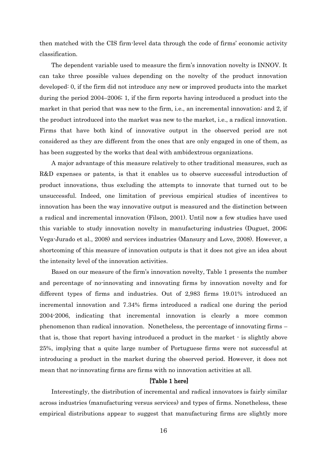then matched with the CIS firm-level data through the code of firms' economic activity classification.

The dependent variable used to measure the firm's innovation novelty is INNOV. It can take three possible values depending on the novelty of the product innovation developed: 0, if the firm did not introduce any new or improved products into the market during the period 2004–2006; 1, if the firm reports having introduced a product into the market in that period that was new to the firm, i.e., an incremental innovation; and 2, if the product introduced into the market was new to the market, i.e., a radical innovation. Firms that have both kind of innovative output in the observed period are not considered as they are different from the ones that are only engaged in one of them, as has been suggested by the works that deal with ambidextrous organizations.

A major advantage of this measure relatively to other traditional measures, such as R&D expenses or patents, is that it enables us to observe successful introduction of product innovations, thus excluding the attempts to innovate that turned out to be unsuccessful. Indeed, one limitation of previous empirical studies of incentives to innovation has been the way innovative output is measured and the distinction between a radical and incremental innovation (Filson, 2001). Until now a few studies have used this variable to study innovation novelty in manufacturing industries (Duguet, 2006; Vega-Jurado et al., 2008) and services industries (Mansury and Love, 2008). However, a shortcoming of this measure of innovation outputs is that it does not give an idea about the intensity level of the innovation activities.

Based on our measure of the firm's innovation novelty, Table 1 presents the number and percentage of no-innovating and innovating firms by innovation novelty and for different types of firms and industries. Out of 2,983 firms 19.01% introduced an incremental innovation and 7.34% firms introduced a radical one during the period 2004-2006, indicating that incremental innovation is clearly a more common phenomenon than radical innovation. Nonetheless, the percentage of innovating firms – that is, those that report having introduced a product in the market - is slightly above 25%, implying that a quite large number of Portuguese firms were not successful at introducing a product in the market during the observed period. However, it does not mean that no-innovating firms are firms with no innovation activities at all.

#### [Table 1 here]

Interestingly, the distribution of incremental and radical innovators is fairly similar across industries (manufacturing versus services) and types of firms. Nonetheless, these empirical distributions appear to suggest that manufacturing firms are slightly more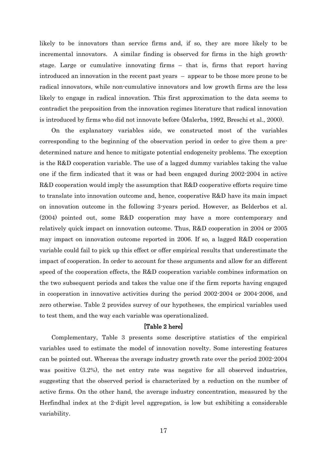likely to be innovators than service firms and, if so, they are more likely to be incremental innovators. A similar finding is observed for firms in the high growthstage. Large or cumulative innovating firms – that is, firms that report having introduced an innovation in the recent past years – appear to be those more prone to be radical innovators, while non-cumulative innovators and low growth firms are the less likely to engage in radical innovation. This first approximation to the data seems to contradict the preposition from the innovation regimes literature that radical innovation is introduced by firms who did not innovate before (Malerba, 1992, Breschi et al., 2000).

On the explanatory variables side, we constructed most of the variables corresponding to the beginning of the observation period in order to give them a predetermined nature and hence to mitigate potential endogeneity problems. The exception is the R&D cooperation variable. The use of a lagged dummy variables taking the value one if the firm indicated that it was or had been engaged during 2002-2004 in active R&D cooperation would imply the assumption that R&D cooperative efforts require time to translate into innovation outcome and, hence, cooperative R&D have its main impact on innovation outcome in the following 3-years period. However, as Belderbos et al. (2004) pointed out, some R&D cooperation may have a more contemporary and relatively quick impact on innovation outcome. Thus, R&D cooperation in 2004 or 2005 may impact on innovation outcome reported in 2006. If so, a lagged R&D cooperation variable could fail to pick up this effect or offer empirical results that underestimate the impact of cooperation. In order to account for these arguments and allow for an different speed of the cooperation effects, the R&D cooperation variable combines information on the two subsequent periods and takes the value one if the firm reports having engaged in cooperation in innovative activities during the period 2002-2004 or 2004-2006, and zero otherwise. Table 2 provides survey of our hypotheses, the empirical variables used to test them, and the way each variable was operationalized.

#### [Table 2 here]

Complementary, Table 3 presents some descriptive statistics of the empirical variables used to estimate the model of innovation novelty. Some interesting features can be pointed out. Whereas the average industry growth rate over the period 2002-2004 was positive  $(3.2\%)$ , the net entry rate was negative for all observed industries, suggesting that the observed period is characterized by a reduction on the number of active firms. On the other hand, the average industry concentration, measured by the Herfindhal index at the 2-digit level aggregation, is low but exhibiting a considerable variability.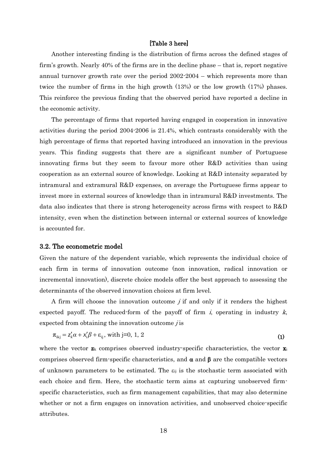#### [Table 3 here]

Another interesting finding is the distribution of firms across the defined stages of firm's growth. Nearly 40% of the firms are in the decline phase – that is, report negative annual turnover growth rate over the period 2002-2004 – which represents more than twice the number of firms in the high growth (13%) or the low growth (17%) phases. This reinforce the previous finding that the observed period have reported a decline in the economic activity.

The percentage of firms that reported having engaged in cooperation in innovative activities during the period 2004-2006 is 21.4%, which contrasts considerably with the high percentage of firms that reported having introduced an innovation in the previous years. This finding suggests that there are a significant number of Portuguese innovating firms but they seem to favour more other R&D activities than using cooperation as an external source of knowledge. Looking at R&D intensity separated by intramural and extramural R&D expenses, on average the Portuguese firms appear to invest more in external sources of knowledge than in intramural R&D investments. The data also indicates that there is strong heterogeneity across firms with respect to R&D intensity, even when the distinction between internal or external sources of knowledge is accounted for.

#### 3.2. The econometric model

Given the nature of the dependent variable, which represents the individual choice of each firm in terms of innovation outcome (non innovation, radical innovation or incremental innovation), discrete choice models offer the best approach to assessing the determinants of the observed innovation choices at firm level.

A firm will choose the innovation outcome j if and only if it renders the highest expected payoff. The reduced-form of the payoff of firm  $i$ , operating in industry  $k$ , expected from obtaining the innovation outcome  $j$  is

$$
\pi_{ikj} = z'_k \alpha + x'_i \beta + \varepsilon_{ij}, \text{ with } j=0, 1, 2
$$
\n
$$
(1)
$$

where the vector  $\mathbf{z}_k$  comprises observed industry-specific characteristics, the vector  $\mathbf{x}_i$ comprises observed firm-specific characteristics, and  $\alpha$  and  $\beta$  are the compatible vectors of unknown parameters to be estimated. The  $\varepsilon_{ij}$  is the stochastic term associated with each choice and firm. Here, the stochastic term aims at capturing unobserved firmspecific characteristics, such as firm management capabilities, that may also determine whether or not a firm engages on innovation activities, and unobserved choice-specific attributes.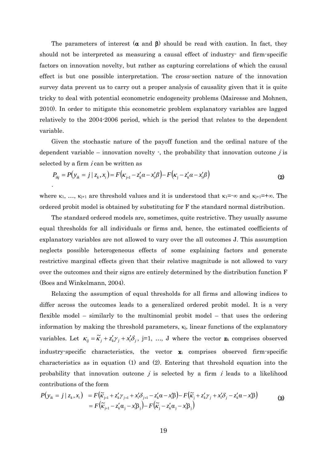The parameters of interest  $(\alpha$  and  $\beta)$  should be read with caution. In fact, they should not be interpreted as measuring a causal effect of industry- and firm-specific factors on innovation novelty, but rather as capturing correlations of which the causal effect is but one possible interpretation. The cross-section nature of the innovation survey data prevent us to carry out a proper analysis of causality given that it is quite tricky to deal with potential econometric endogeneity problems (Mairesse and Mohnen, 2010). In order to mitigate this econometric problem explanatory variables are lagged relatively to the 2004-2006 period, which is the period that relates to the dependent variable.

Given the stochastic nature of the payoff function and the ordinal nature of the dependent variable – innovation novelty  $\cdot$ , the probability that innovation outcone j is selected by a firm  $i$  can be written as

$$
P_{ikj} = P(y_{ik} = j \mid z_k, x_i) = F(\kappa_{j+1} - z_k' \alpha - x_i' \beta) - F(\kappa_j - z_k' \alpha - x_i' \beta)
$$
\n(2)

where  $\kappa_1, ..., \kappa_{j+1}$  are threshold values and it is understood that  $\kappa_1 = \infty$  and  $\kappa_{j+1} = +\infty$ . The ordered probit model is obtained by substituting for F the standard normal distribution.

.

The standard ordered models are, sometimes, quite restrictive. They usually assume equal thresholds for all individuals or firms and, hence, the estimated coefficients of explanatory variables are not allowed to vary over the all outcomes J. This assumption neglects possible heterogeneous effects of some explaining factors and generate restrictive marginal effects given that their relative magnitude is not allowed to vary over the outcomes and their signs are entirely determined by the distribution function F (Boes and Winkelmann, 2004).

Relaxing the assumption of equal thresholds for all firms and allowing indices to differ across the outcomes leads to a generalized ordered probit model. It is a very flexible model – similarly to the multinomial probit model – that uses the ordering information by making the threshold parameters,  $\kappa_j$ , linear functions of the explanatory variables. Let  $\kappa_{ij} = \tilde{\kappa}_j + z'_k \gamma_j + x'_i \delta_j$ , j=1, ..., J where the vector  $z_k$  comprises observed industry-specific characteristics, the vector  $\mathbf{x}_i$  comprises observed firm-specific characteristics as in equation (1) and (2). Entering that threshold equation into the probability that innovation outcone  $j$  is selected by a firm  $i$  leads to a likelihood contributions of the form

$$
P(y_{ik} = j \mid z_k, x_i) = F(\tilde{\kappa}_{j+1} + z_k' \gamma_{j+1} + x_i' \delta_{j+1} - z_k' \alpha - x_i' \beta) - F(\tilde{\kappa}_j + z_k' \gamma_j + x_i' \delta_j - z_k' \alpha - x_i' \beta)
$$
  
=  $F(\tilde{\kappa}_{j+1} - z_k' \alpha_j - x_i' \beta_j) - F(\tilde{\kappa}_j - z_k' \alpha_j - x_i' \beta_j)$  (3)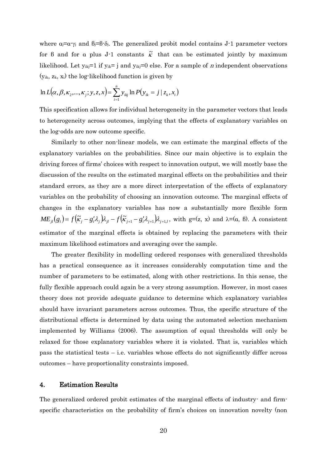where  $a_j=a_j$  and  $\beta_j=\beta_0$ . The generalized probit model contains J-1 parameter vectors for β and for a plus J-1 constants  $\tilde{\kappa}$  that can be estimated jointly by maximum likelihood. Let  $y_{ik}=1$  if  $y_{ik}=j$  and  $y_{ik}=0$  else. For a sample of *n* independent observations  $(y_{ik}, z_k, x_i)$  the log-likelihood function is given by

$$
\ln L(\alpha, \beta, \kappa_2, ..., \kappa_j; y, z, x) = \sum_{i=1}^n y_{ikj} \ln P(y_{ik} = j | z_k, x_i)
$$

This specification allows for individual heterogeneity in the parameter vectors that leads to heterogeneity across outcomes, implying that the effects of explanatory variables on the log-odds are now outcome specific.

Similarly to other non-linear models, we can estimate the marginal effects of the explanatory variables on the probabilities. Since our main objective is to explain the driving forces of firms' choices with respect to innovation output, we will mostly base the discussion of the results on the estimated marginal effects on the probabilities and their standard errors, as they are a more direct interpretation of the effects of explanatory variables on the probability of choosing an innovation outcome. The marginal effects of changes in the explanatory variables has now a substantially more flexible form  $ME_{jl}(g_i) = f(\tilde{\kappa}_j - g'_i \lambda_j)\lambda_{jl} - f(\tilde{\kappa}_{j+1} - g'_i \lambda_{j+1})\lambda_{j+1,l}$ , with g=(z, x) and  $\lambda = (\alpha, \beta)$ . A consistent estimator of the marginal effects is obtained by replacing the parameters with their maximum likelihood estimators and averaging over the sample.

The greater flexibility in modelling ordered responses with generalized thresholds has a practical consequence as it increases considerably computation time and the number of parameters to be estimated, along with other restrictions. In this sense, the fully flexible approach could again be a very strong assumption. However, in most cases theory does not provide adequate guidance to determine which explanatory variables should have invariant parameters across outcomes. Thus, the specific structure of the distributional effects is determined by data using the automated selection mechanism implemented by Williams (2006). The assumption of equal thresholds will only be relaxed for those explanatory variables where it is violated. That is, variables which pass the statistical tests  $-$  i.e. variables whose effects do not significantly differ across outcomes – have proportionality constraints imposed.

#### 4. Estimation Results

The generalized ordered probit estimates of the marginal effects of industry- and firmspecific characteristics on the probability of firm's choices on innovation novelty (non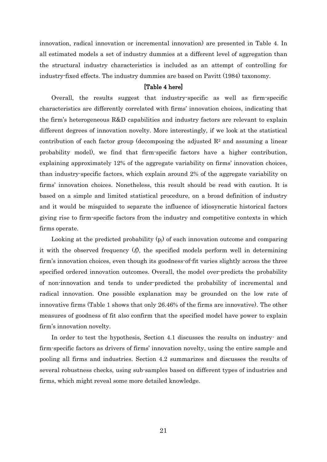innovation, radical innovation or incremental innovation) are presented in Table 4. In all estimated models a set of industry dummies at a different level of aggregation than the structural industry characteristics is included as an attempt of controlling for industry-fixed effects. The industry dummies are based on Pavitt (1984) taxonomy.

#### [Table 4 here]

Overall, the results suggest that industry-specific as well as firm-specific characteristics are differently correlated with firms' innovation choices, indicating that the firm's heterogeneous R&D capabilities and industry factors are relevant to explain different degrees of innovation novelty. More interestingly, if we look at the statistical contribution of each factor group (decomposing the adjusted  $\mathbb{R}^2$  and assuming a linear probability model), we find that firm-specific factors have a higher contribution, explaining approximately 12% of the aggregate variability on firms' innovation choices, than industry-specific factors, which explain around 2% of the aggregate variability on firms' innovation choices. Nonetheless, this result should be read with caution. It is based on a simple and limited statistical procedure, on a broad definition of industry and it would be misguided to separate the influence of idiosyncratic historical factors giving rise to firm-specific factors from the industry and competitive contexts in which firms operate.

Looking at the predicted probability  $(p_i)$  of each innovation outcome and comparing it with the observed frequency  $(f_i)$ , the specified models perform well in determining firm's innovation choices, even though its goodness-of-fit varies slightly across the three specified ordered innovation outcomes. Overall, the model over-predicts the probability of non-innovation and tends to under-predicted the probability of incremental and radical innovation. One possible explanation may be grounded on the low rate of innovative firms (Table 1 shows that only 26.46% of the firms are innovative). The other measures of goodness of fit also confirm that the specified model have power to explain firm's innovation novelty.

In order to test the hypothesis, Section 4.1 discusses the results on industry- and firm-specific factors as drivers of firms' innovation novelty, using the entire sample and pooling all firms and industries. Section 4.2 summarizes and discusses the results of several robustness checks, using sub-samples based on different types of industries and firms, which might reveal some more detailed knowledge.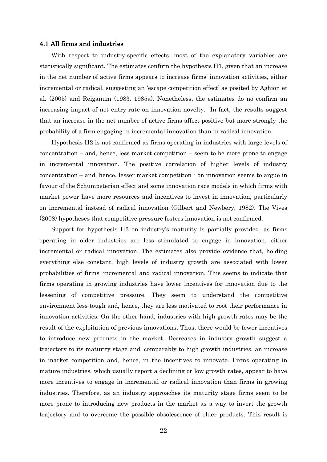#### 4.1 All firms and industries

With respect to industry-specific effects, most of the explanatory variables are statistically significant. The estimates confirm the hypothesis H1, given that an increase in the net number of active firms appears to increase firms' innovation activities, either incremental or radical, suggesting an 'escape competition effect' as posited by Aghion et al. (2005) and Reiganum (1983, 1985a). Nonetheless, the estimates do no confirm an increasing impact of net entry rate on innovation novelty. In fact, the results suggest that an increase in the net number of active firms affect positive but more strongly the probability of a firm engaging in incremental innovation than in radical innovation.

Hypothesis H2 is not confirmed as firms operating in industries with large levels of concentration – and, hence, less market competition – seem to be more prone to engage in incremental innovation. The positive correlation of higher levels of industry concentration – and, hence, lesser market competition - on innovation seems to argue in favour of the Schumpeterian effect and some innovation race models in which firms with market power have more resources and incentives to invest in innovation, particularly on incremental instead of radical innovation (Gilbert and Newbery, 1982). The Vives (2008) hypotheses that competitive pressure fosters innovation is not confirmed.

Support for hypothesis H3 on industry's maturity is partially provided, as firms operating in older industries are less stimulated to engage in innovation, either incremental or radical innovation. The estimates also provide evidence that, holding everything else constant, high levels of industry growth are associated with lower probabilities of firms' incremental and radical innovation. This seems to indicate that firms operating in growing industries have lower incentives for innovation due to the lessening of competitive pressure. They seem to understand the competitive environment less tough and, hence, they are less motivated to root their performance in innovation activities. On the other hand, industries with high growth rates may be the result of the exploitation of previous innovations. Thus, there would be fewer incentives to introduce new products in the market. Decreases in industry growth suggest a trajectory to its maturity stage and, comparably to high growth industries, an increase in market competition and, hence, in the incentives to innovate. Firms operating in mature industries, which usually report a declining or low growth rates, appear to have more incentives to engage in incremental or radical innovation than firms in growing industries. Therefore, as an industry approaches its maturity stage firms seem to be more prone to introducing new products in the market as a way to invert the growth trajectory and to overcome the possible obsolescence of older products. This result is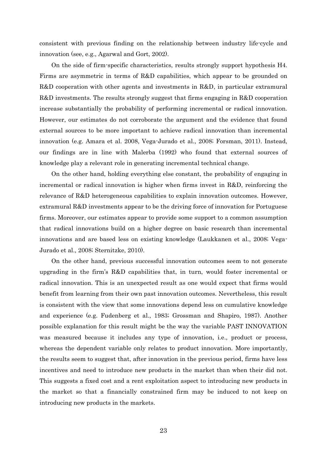consistent with previous finding on the relationship between industry life-cycle and innovation (see, e.g., Agarwal and Gort, 2002).

On the side of firm-specific characteristics, results strongly support hypothesis H4. Firms are asymmetric in terms of R&D capabilities, which appear to be grounded on R&D cooperation with other agents and investments in R&D, in particular extramural R&D investments. The results strongly suggest that firms engaging in R&D cooperation increase substantially the probability of performing incremental or radical innovation. However, our estimates do not corroborate the argument and the evidence that found external sources to be more important to achieve radical innovation than incremental innovation (e.g. Amara et al. 2008, Vega-Jurado et al., 2008; Forsman, 2011). Instead, our findings are in line with Malerba (1992) who found that external sources of knowledge play a relevant role in generating incremental technical change.

On the other hand, holding everything else constant, the probability of engaging in incremental or radical innovation is higher when firms invest in R&D, reinforcing the relevance of R&D heterogeneous capabilities to explain innovation outcomes. However, extramural R&D investments appear to be the driving force of innovation for Portuguese firms. Moreover, our estimates appear to provide some support to a common assumption that radical innovations build on a higher degree on basic research than incremental innovations and are based less on existing knowledge (Laukkanen et al., 2008; Vega-Jurado et al., 2008; Sternitzke, 2010).

On the other hand, previous successful innovation outcomes seem to not generate upgrading in the firm's R&D capabilities that, in turn, would foster incremental or radical innovation. This is an unexpected result as one would expect that firms would benefit from learning from their own past innovation outcomes. Nevertheless, this result is consistent with the view that some innovations depend less on cumulative knowledge and experience (e.g. Fudenberg et al., 1983; Grossman and Shapiro, 1987). Another possible explanation for this result might be the way the variable PAST INNOVATION was measured because it includes any type of innovation, i.e., product or process, whereas the dependent variable only relates to product innovation. More importantly, the results seem to suggest that, after innovation in the previous period, firms have less incentives and need to introduce new products in the market than when their did not. This suggests a fixed cost and a rent exploitation aspect to introducing new products in the market so that a financially constrained firm may be induced to not keep on introducing new products in the markets.

23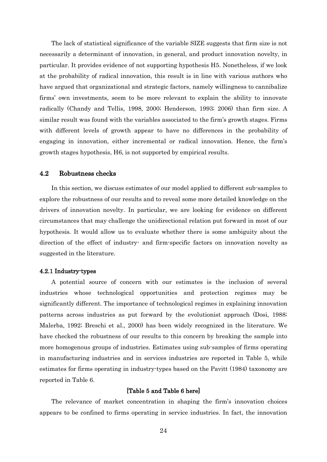The lack of statistical significance of the variable SIZE suggests that firm size is not necessarily a determinant of innovation, in general, and product innovation novelty, in particular. It provides evidence of not supporting hypothesis H5. Nonetheless, if we look at the probability of radical innovation, this result is in line with various authors who have argued that organizational and strategic factors, namely willingness to cannibalize firms' own investments, seem to be more relevant to explain the ability to innovate radically (Chandy and Tellis, 1998, 2000; Henderson, 1993; 2006) than firm size. A similar result was found with the variables associated to the firm's growth stages. Firms with different levels of growth appear to have no differences in the probability of engaging in innovation, either incremental or radical innovation. Hence, the firm's growth stages hypothesis, H6, is not supported by empirical results.

#### 4.2 Robustness checks

In this section, we discuss estimates of our model applied to different sub-samples to explore the robustness of our results and to reveal some more detailed knowledge on the drivers of innovation novelty. In particular, we are looking for evidence on different circumstances that may challenge the unidirectional relation put forward in most of our hypothesis. It would allow us to evaluate whether there is some ambiguity about the direction of the effect of industry- and firm-specific factors on innovation novelty as suggested in the literature.

#### 4.2.1 Industry-types

A potential source of concern with our estimates is the inclusion of several industries whose technological opportunities and protection regimes may be significantly different. The importance of technological regimes in explaining innovation patterns across industries as put forward by the evolutionist approach (Dosi, 1988; Malerba, 1992; Breschi et al., 2000) has been widely recognized in the literature. We have checked the robustness of our results to this concern by breaking the sample into more homogenous groups of industries. Estimates using sub-samples of firms operating in manufacturing industries and in services industries are reported in Table 5, while estimates for firms operating in industry-types based on the Pavitt (1984) taxonomy are reported in Table 6.

#### [Table 5 and Table 6 here]

The relevance of market concentration in shaping the firm's innovation choices appears to be confined to firms operating in service industries. In fact, the innovation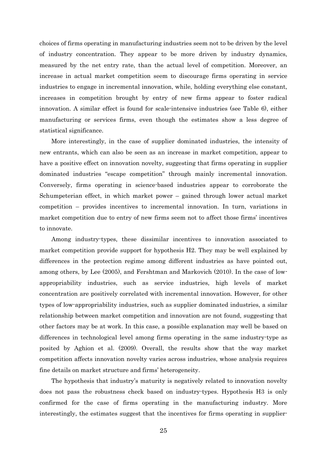choices of firms operating in manufacturing industries seem not to be driven by the level of industry concentration. They appear to be more driven by industry dynamics, measured by the net entry rate, than the actual level of competition. Moreover, an increase in actual market competition seem to discourage firms operating in service industries to engage in incremental innovation, while, holding everything else constant, increases in competition brought by entry of new firms appear to foster radical innovation. A similar effect is found for scale-intensive industries (see Table 6), either manufacturing or services firms, even though the estimates show a less degree of statistical significance.

More interestingly, in the case of supplier dominated industries, the intensity of new entrants, which can also be seen as an increase in market competition, appear to have a positive effect on innovation novelty, suggesting that firms operating in supplier dominated industries "escape competition" through mainly incremental innovation. Conversely, firms operating in science-based industries appear to corroborate the Schumpeterian effect, in which market power – gained through lower actual market competition – provides incentives to incremental innovation. In turn, variations in market competition due to entry of new firms seem not to affect those firms' incentives to innovate.

Among industry-types, these dissimilar incentives to innovation associated to market competition provide support for hypothesis H2. They may be well explained by differences in the protection regime among different industries as have pointed out, among others, by Lee (2005), and Fershtman and Markovich (2010). In the case of lowappropriability industries, such as service industries, high levels of market concentration are positively correlated with incremental innovation. However, for other types of low-appropriability industries, such as supplier dominated industries, a similar relationship between market competition and innovation are not found, suggesting that other factors may be at work. In this case, a possible explanation may well be based on differences in technological level among firms operating in the same industry-type as posited by Aghion et al. (2009). Overall, the results show that the way market competition affects innovation novelty varies across industries, whose analysis requires fine details on market structure and firms' heterogeneity.

The hypothesis that industry's maturity is negatively related to innovation novelty does not pass the robustness check based on industry-types. Hypothesis H3 is only confirmed for the case of firms operating in the manufacturing industry. More interestingly, the estimates suggest that the incentives for firms operating in supplier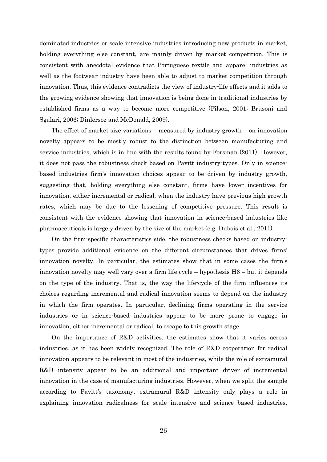dominated industries or scale intensive industries introducing new products in market, holding everything else constant, are mainly driven by market competition. This is consistent with anecdotal evidence that Portuguese textile and apparel industries as well as the footwear industry have been able to adjust to market competition through innovation. Thus, this evidence contradicts the view of industry-life effects and it adds to the growing evidence showing that innovation is being done in traditional industries by established firms as a way to become more competitive (Filson, 2001; Brusoni and Sgalari, 2006; Dinlersoz and McDonald, 2009).

The effect of market size variations – measured by industry growth – on innovation novelty appears to be mostly robust to the distinction between manufacturing and service industries, which is in line with the results found by Forsman (2011). However, it does not pass the robustness check based on Pavitt industry-types. Only in sciencebased industries firm's innovation choices appear to be driven by industry growth, suggesting that, holding everything else constant, firms have lower incentives for innovation, either incremental or radical, when the industry have previous high growth rates, which may be due to the lessening of competitive pressure. This result is consistent with the evidence showing that innovation in science-based industries like pharmaceuticals is largely driven by the size of the market (e.g. Dubois et al., 2011).

On the firm-specific characteristics side, the robustness checks based on industrytypes provide additional evidence on the different circumstances that drives firms' innovation novelty. In particular, the estimates show that in some cases the firm's innovation novelty may well vary over a firm life cycle – hypothesis H6 – but it depends on the type of the industry. That is, the way the life-cycle of the firm influences its choices regarding incremental and radical innovation seems to depend on the industry in which the firm operates. In particular, declining firms operating in the service industries or in science-based industries appear to be more prone to engage in innovation, either incremental or radical, to escape to this growth stage.

On the importance of R&D activities, the estimates show that it varies across industries, as it has been widely recognized. The role of R&D cooperation for radical innovation appears to be relevant in most of the industries, while the role of extramural R&D intensity appear to be an additional and important driver of incremental innovation in the case of manufacturing industries. However, when we split the sample according to Pavitt's taxonomy, extramural R&D intensity only plays a role in explaining innovation radicalness for scale intensive and science based industries,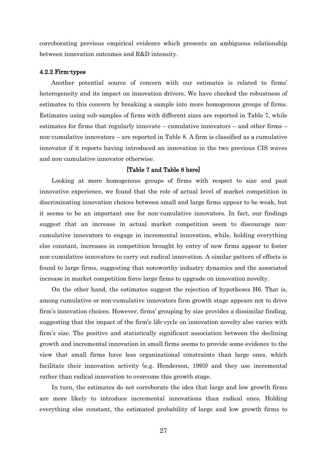corroborating previous empirical evidence which presents an ambiguous relationship between innovation outcomes and R&D intensity.

#### 4.2.2 Firm-types

Another potential source of concern with our estimates is related to firms' heterogeneity and its impact on innovation drivers. We have checked the robustness of estimates to this concern by breaking a sample into more homogenous groups of firms. Estimates using sub-samples of firms with different sizes are reported in Table 7, while estimates for firms that regularly innovate – cumulative innovators – and other firms – non-cumulative innovators – are reported in Table 8. A firm is classified as a cumulative innovator if it reports having introduced an innovation in the two previous CIS waves and non-cumulative innovator otherwise.

#### [Table 7 and Table 8 here]

Looking at more homogenous groups of firms with respect to size and past innovative experience, we found that the role of actual level of market competition in discriminating innovation choices between small and large firms appear to be weak, but it seems to be an important one for non-cumulative innovators. In fact, our findings suggest that an increase in actual market competition seem to discourage noncumulative innovators to engage in incremental innovation, while, holding everything else constant, increases in competition brought by entry of new firms appear to foster non-cumulative innovators to carry out radical innovation. A similar pattern of effects is found to large firms, suggesting that noteworthy industry dynamics and the associated increase in market competition force large firms to upgrade on innovation novelty.

On the other hand, the estimates suggest the rejection of hypotheses H6. That is, among cumulative or non-cumulative innovators firm growth stage appears not to drive firm's innovation choices. However, firms' grouping by size provides a dissimilar finding, suggesting that the impact of the firm's life-cycle on innovation novelty also varies with firm's size. The positive and statistically significant association between the declining growth and incremental innovation in small firms seems to provide some evidence to the view that small firms have less organizational constraints than large ones, which facilitate their innovation activity (e.g. Henderson, 1993) and they use incremental rather than radical innovation to overcome this growth stage.

In turn, the estimates do not corroborate the idea that large and low growth firms are more likely to introduce incremental innovations than radical ones. Holding everything else constant, the estimated probability of large and low growth firms to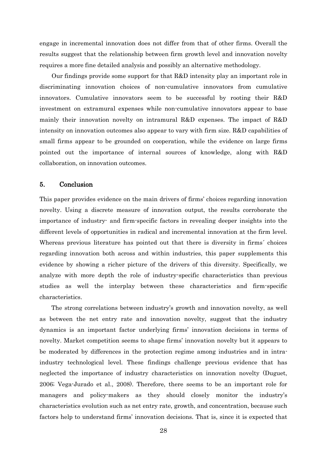engage in incremental innovation does not differ from that of other firms. Overall the results suggest that the relationship between firm growth level and innovation novelty requires a more fine detailed analysis and possibly an alternative methodology.

Our findings provide some support for that R&D intensity play an important role in discriminating innovation choices of non-cumulative innovators from cumulative innovators. Cumulative innovators seem to be successful by rooting their R&D investment on extramural expenses while non-cumulative innovators appear to base mainly their innovation novelty on intramural R&D expenses. The impact of R&D intensity on innovation outcomes also appear to vary with firm size. R&D capabilities of small firms appear to be grounded on cooperation, while the evidence on large firms pointed out the importance of internal sources of knowledge, along with R&D collaboration, on innovation outcomes.

#### 5. Conclusion

This paper provides evidence on the main drivers of firms' choices regarding innovation novelty. Using a discrete measure of innovation output, the results corroborate the importance of industry- and firm-specific factors in revealing deeper insights into the different levels of opportunities in radical and incremental innovation at the firm level. Whereas previous literature has pointed out that there is diversity in firms´ choices regarding innovation both across and within industries, this paper supplements this evidence by showing a richer picture of the drivers of this diversity. Specifically, we analyze with more depth the role of industry-specific characteristics than previous studies as well the interplay between these characteristics and firm-specific characteristics.

The strong correlations between industry's growth and innovation novelty, as well as between the net entry rate and innovation novelty, suggest that the industry dynamics is an important factor underlying firms' innovation decisions in terms of novelty. Market competition seems to shape firms' innovation novelty but it appears to be moderated by differences in the protection regime among industries and in intraindustry technological level. These findings challenge previous evidence that has neglected the importance of industry characteristics on innovation novelty (Duguet, 2006; Vega-Jurado et al., 2008). Therefore, there seems to be an important role for managers and policy-makers as they should closely monitor the industry's characteristics evolution such as net entry rate, growth, and concentration, because such factors help to understand firms' innovation decisions. That is, since it is expected that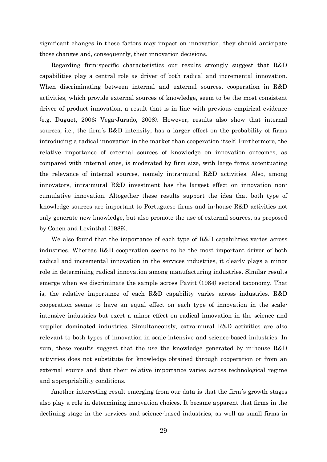significant changes in these factors may impact on innovation, they should anticipate those changes and, consequently, their innovation decisions.

Regarding firm-specific characteristics our results strongly suggest that R&D capabilities play a central role as driver of both radical and incremental innovation. When discriminating between internal and external sources, cooperation in R&D activities, which provide external sources of knowledge, seem to be the most consistent driver of product innovation, a result that is in line with previous empirical evidence (e.g. Duguet, 2006; Vega-Jurado, 2008). However, results also show that internal sources, i.e., the firm´s R&D intensity, has a larger effect on the probability of firms introducing a radical innovation in the market than cooperation itself. Furthermore, the relative importance of external sources of knowledge on innovation outcomes, as compared with internal ones, is moderated by firm size, with large firms accentuating the relevance of internal sources, namely intra-mural R&D activities. Also, among innovators, intra-mural R&D investment has the largest effect on innovation noncumulative innovation. Altogether these results support the idea that both type of knowledge sources are important to Portuguese firms and in-house R&D activities not only generate new knowledge, but also promote the use of external sources, as proposed by Cohen and Levinthal (1989).

We also found that the importance of each type of R&D capabilities varies across industries. Whereas R&D cooperation seems to be the most important driver of both radical and incremental innovation in the services industries, it clearly plays a minor role in determining radical innovation among manufacturing industries. Similar results emerge when we discriminate the sample across Pavitt (1984) sectoral taxonomy. That is, the relative importance of each R&D capability varies across industries. R&D cooperation seems to have an equal effect on each type of innovation in the scaleintensive industries but exert a minor effect on radical innovation in the science and supplier dominated industries. Simultaneously, extra-mural R&D activities are also relevant to both types of innovation in scale-intensive and science-based industries. In sum, these results suggest that the use the knowledge generated by in-house R&D activities does not substitute for knowledge obtained through cooperation or from an external source and that their relative importance varies across technological regime and appropriability conditions.

Another interesting result emerging from our data is that the firm´s growth stages also play a role in determining innovation choices. It became apparent that firms in the declining stage in the services and science-based industries, as well as small firms in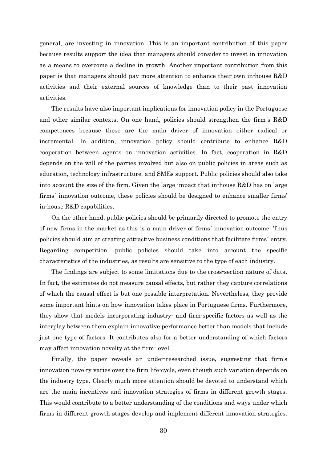general, are investing in innovation. This is an important contribution of this paper because results support the idea that managers should consider to invest in innovation as a means to overcome a decline in growth. Another important contribution from this paper is that managers should pay more attention to enhance their own in-house R&D activities and their external sources of knowledge than to their past innovation activities.

The results have also important implications for innovation policy in the Portuguese and other similar contexts. On one hand, policies should strengthen the firm´s R&D competences because these are the main driver of innovation either radical or incremental. In addition, innovation policy should contribute to enhance R&D cooperation between agents on innovation activities. In fact, cooperation in R&D depends on the will of the parties involved but also on public policies in areas such as education, technology infrastructure, and SMEs support. Public policies should also take into account the size of the firm. Given the large impact that in-house R&D has on large firms´ innovation outcome, these policies should be designed to enhance smaller firms' in-house R&D capabilities.

On the other hand, public policies should be primarily directed to promote the entry of new firms in the market as this is a main driver of firms´ innovation outcome. Thus policies should aim at creating attractive business conditions that facilitate firms´ entry. Regarding competition, public policies should take into account the specific characteristics of the industries, as results are sensitive to the type of each industry.

The findings are subject to some limitations due to the cross-section nature of data. In fact, the estimates do not measure causal effects, but rather they capture correlations of which the causal effect is but one possible interpretation. Nevertheless, they provide some important hints on how innovation takes place in Portuguese firms. Furthermore, they show that models incorporating industry- and firm-specific factors as well as the interplay between them explain innovative performance better than models that include just one type of factors. It contributes also for a better understanding of which factors may affect innovation novelty at the firm-level.

Finally, the paper reveals an under-researched issue, suggesting that firm's innovation novelty varies over the firm life-cycle, even though such variation depends on the industry type. Clearly much more attention should be devoted to understand which are the main incentives and innovation strategies of firms in different growth stages. This would contribute to a better understanding of the conditions and ways under which firms in different growth stages develop and implement different innovation strategies.

30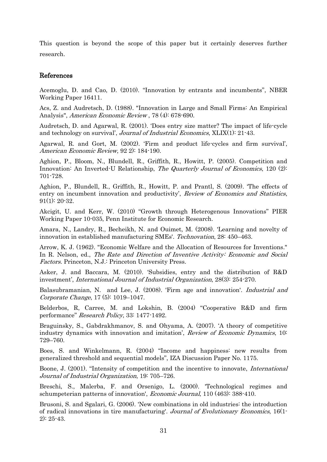This question is beyond the scope of this paper but it certainly deserves further research.

#### References

Acemoglu, D. and Cao, D. (2010). "Innovation by entrants and incumbents", NBER Working Paper 16411.

Acs, Z. and Audretsch, D. (1988). "Innovation in Large and Small Firms: An Empirical Analysis", American Economic Review , 78 (4): 678-690.

Audretsch, D. and Agarwal, R. (2001). 'Does entry size matter? The impact of life-cycle and technology on survival', Journal of Industrial Economics, XLIX(1): 21-43.

Agarwal, R. and Gort, M. (2002). 'Firm and product life-cycles and firm survival', American Economic Review, 92 2): 184-190.

Aghion, P., Bloom, N., Blundell, R., Griffith, R., Howitt, P. (2005). Competition and Innovation: An Inverted-U Relationship, The Quarterly Journal of Economics, 120 (2): 701-728.

Aghion, P., Blundell, R., Griffith, R., Howitt, P. and Prantl, S. (2009). 'The effects of entry on incumbent innovation and productivity', Review of Economics and Statistics, 91(1): 20-32.

Akcigit, U. and Kerr, W. (2010) "Growth through Heterogenous Innovations" PIER Working Paper 10-035, Penn Institute for Economic Research.

Amara, N., Landry, R., Becheikh, N. and Ouimet, M. (2008). 'Learning and novelty of innovation in established manufacturing SMEs'. Technovation, 28: 450–463.

Arrow, K. J. (1962). "Economic Welfare and the Allocation of Resources for Inventions." In R. Nelson, ed., The Rate and Direction of Inventive Activity: Economic and Social Factors. Princeton, N.J.: Princeton University Press.

Asker, J. and Baccara, M. (2010). 'Subsidies, entry and the distribution of R&D investment', International Journal of Industrial Organization, 28(3): 254-270.

Balasubramanian, N. and Lee, J. (2008). 'Firm age and innovation'. Industrial and Corporate Change, 17 (5): 1019–1047.

Belderbos, R, Carree, M. and Lokshin, B. (2004) "Cooperative R&D and firm performance" Research Policy, 33: 1477-1492.

Braguinsky, S., Gabdrakhmanov, S. and Ohyama, A. (2007). 'A theory of competitive industry dynamics with innovation and imitation', *Review of Economic Dynamics*, 10<sup>:</sup> 729–760.

Boes, S. and Winkelmann, R. (2004) "Income and happiness: new results from generalized threshold and sequential models", IZA Discussion Paper No. 1175.

Boone, J. (2001). "Intensity of competition and the incentive to innovate, International Journal of Industrial Organization, 19: 705–726.

Breschi, S., Malerba, F. and Orsenigo, L. (2000). 'Technological regimes and schumpeterian patterns of innovation', Economic Journal, 110 (463): 388-410.

Brusoni, S. and Sgalari, G. (2006). 'New combinations in old industries: the introduction of radical innovations in tire manufacturing'. Journal of Evolutionary Economics, 16(1- 2): 25-43.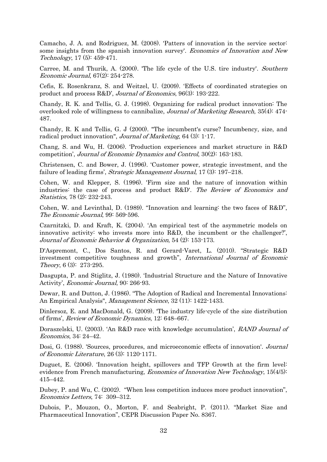Camacho, J. A. and Rodriguez, M. (2008). 'Patters of innovation in the service sector: some insights from the spanish innovation survey'. *Economics of Innovation and New* Technology, 17 (5): 459-471.

Carree, M. and Thurik, A. (2000). 'The life cycle of the U.S. tire industry'. Southern Economic Journal, 67(2): 254-278.

Cefis, E. Rosenkranz, S. and Weitzel, U. (2009). 'Effects of coordinated strategies on product and process R&D', Journal of Economics, 96(3): 193-222.

Chandy, R. K. and Tellis, G. J. (1998). Organizing for radical product innovation: The overlooked role of willingness to cannibalize, Journal of Marketing Research, 35(4): 474- 487.

Chandy, R. K and Tellis, G. J (2000). "The incumbent's curse? Incumbency, size, and radical product innovation", *Journal of Marketing*, 64 (3): 1-17.

Chang, S. and Wu, H. (2006). 'Production experiences and market structure in R&D competition', Journal of Economic Dynamics and Control, 30(2): 163-183.

Christensen, C. and Bower, J. (1996). 'Customer power, strategic investment, and the failure of leading firms', Strategic Management Journal, 17 (3): 197–218.

Cohen, W. and Klepper, S. (1996). 'Firm size and the nature of innovation within industries: the case of process and product R&D'. The Review of Economics and Statistics, 78 (2): 232-243.

Cohen, W. and Levinthal, D. (1989). "Innovation and learning: the two faces of R&D", The Economic Journal, 99: 569-596.

Czarnitzki, D. and Kraft, K. (2004). 'An empirical test of the asymmetric models on innovative activity: who invests more into R&D, the incumbent or the challenger?', Journal of Economic Behavior & Organization, 54 (2): 153-173.

D'Aspremont, C., Dos Santos, R. and Gerard-Varet, L. (2010). "Strategic R&D investment competitive toughness and growth", International Journal of Economic Theory, 6 (3): 273-295.

Dasgupta, P. and Stiglitz, J. (1980). 'Industrial Structure and the Nature of Innovative Activity', Economic Journal, 90: 266-93.

Dewar, R. and Dutton, J. (1986). "The Adoption of Radical and Incremental Innovations: An Empirical Analysis", *Management Science*, 32 (11): 1422-1433.

Dinlersoz, E. and MacDonald, G. (2009). 'The industry life-cycle of the size distribution of firms', Review of Economic Dynamics, 12: 648–667.

Doraszelski, U. (2003). 'An R&D race with knowledge accumulation', RAND Journal of Economics, 34: 24–42.

Dosi, G. (1988). 'Sources, procedures, and microeconomic effects of innovation'. Journal of Economic Literature, 26 (3): 1120-1171.

Duguet, E. (2006). 'Innovation height, spillovers and TFP Growth at the firm level: evidence from French manufacturing, *Economics of Innovation New Technology*, 15(4/5): 415–442.

Dubey, P. and Wu, C. (2002). "When less competition induces more product innovation", Economics Letters, 74: 309–312.

Dubois, P., Mouzon, O., Morton, F. and Seabright, P. (2011). "Market Size and Pharmaceutical Innovation", CEPR Discussion Paper No. 8367.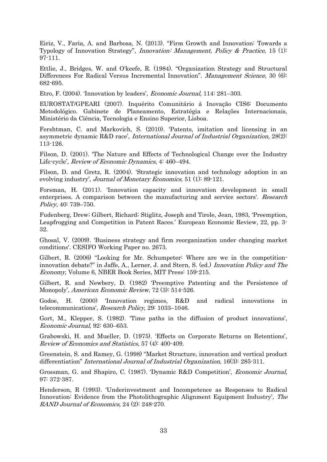Eiriz, V., Faria, A. and Barbosa, N. (2013). "Firm Growth and Innovation: Towards a Typology of Innovation Strategy", Innovation: Management, Policy & Practice, 15 (1): 97-111.

Ettlie, J., Bridges, W. and O'keefe, R. (1984). "Organization Strategy and Structural Differences For Radical Versus Incremental Innovation". *Management Science*, 30 (6): 682-695.

Etro, F. (2004). 'Innovation by leaders', Economic Journal, 114: 281–303.

EUROSTAT/GPEARI (2007). Inquérito Comunitário à Inovação CIS6: Documento Metodológico. Gabinete de Planeamento, Estratégia e Relações Internacionais, Ministério da Ciência, Tecnologia e Ensino Superior, Lisboa.

Fershtman, C. and Markovich, S. (2010). 'Patents, imitation and licensing in an asymmetric dynamic R&D race', International Journal of Industrial Organization, 28(2): 113-126.

Filson, D. (2001). 'The Nature and Effects of Technological Change over the Industry Life-cycle', Review of Economic Dynamics, 4: 460–494.

Filson, D. and Gretz, R. (2004). 'Strategic innovation and technology adoption in an evolving industry', *Journal of Monetary Economics*, 51 (1): 89-121.

Forsman, H. (2011). 'Innovation capacity and innovation development in small enterprises. A comparison between the manufacturing and service sectors'. Research Policy, 40: 739–750.

Fudenberg, Drew; Gilbert, Richard; Stiglitz, Joseph and Tirole, Jean, 1983, 'Preemption, Leapfrogging and Competition in Patent Races.' European Economic Review, 22, pp. 3- 32.

Ghosal, V. (2009). 'Business strategy and firm reorganization under changing market conditions'. CESIFO Working Paper no. 2673.

Gilbert, R. (2006) "Looking for Mr. Schumpeter: Where are we in the competitioninnovation debate?" in Jaffe, A., Lerner, J. and Stern, S. (ed.) Innovation Policy and The Economy, Volume 6, NBER Book Series, MIT Press: 159-215.

Gilbert, R. and Newbery, D. (1982) 'Preemptive Patenting and the Persistence of Monopoly', American Economic Review, 72 (3): 514-526.

Godoe, H. (2000) 'Innovation regimes, R&D and radical innovations in telecommunications', Research Policy, 29: 1033–1046.

Gort, M., Klepper, S. (1982). 'Time paths in the diffusion of product innovations', Economic Journal, 92: 630–653.

Grabowski, H. and Mueller, D. (1975). 'Effects on Corporate Returns on Retentions', Review of Economics and Statistics, 57 (4): 400-409.

Greenstein, S. and Ramey, G. (1998) "Market Structure, innovation and vertical product differentiation" International Journal of Industrial Organization, 16(3): 285-311.

Grossman, G. and Shapiro, C. (1987). 'Dynamic R&D Competition', Economic Journal, 97: 372-387.

Henderson, R (1993). 'Underinvestment and Incompetence as Responses to Radical Innovation: Evidence from the Photolithographic Alignment Equipment Industry', The RAND Journal of Economics, 24 (2): 248-270.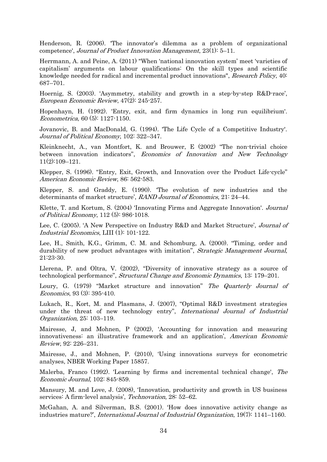Henderson, R. (2006). 'The innovator's dilemma as a problem of organizational competence', Journal of Product Innovation Management, 23(1): 5–11.

Herrmann, A. and Peine, A. (2011) "When 'national innovation system' meet 'varieties of capitalism' arguments on labour qualifications: On the skill types and scientific knowledge needed for radical and incremental product innovations", Research Policy, 40: 687–701.

Hoernig, S. (2003). 'Asymmetry, stability and growth in a step-by-step R&D-race', European Economic Review, 47(2): 245-257.

Hopenhayn, H. (1992). 'Entry, exit, and firm dynamics in long run equilibrium'. Econometrica, 60 (5): 1127-1150.

Jovanovic, B. and MacDonald, G. (1994). 'The Life Cycle of a Competitive Industry'. Journal of Political Economy, 102: 322–347.

Kleinknecht, A., van Montfort, K. and Brouwer, E (2002) "The non-trivial choice between innovation indicators", *Economics of Innovation and New Technology* 11(2):109–121.

Klepper, S. (1996). "Entry, Exit, Growth, and Innovation over the Product Life-cycle" American Economic Review, 86: 562-583.

Klepper, S. and Graddy, E. (1990). 'The evolution of new industries and the determinants of market structure', RAND Journal of Economics, 21: 24–44.

Klette, T. and Kortum, S. (2004) 'Innovating Firms and Aggregate Innovation'. Journal of Political Economy, 112 (5): 986-1018.

Lee, C. (2005). 'A New Perspective on Industry R&D and Market Structure', *Journal of* Industrial Economics, LIII (1): 101-122.

Lee, H., Smith, K.G., Grimm, C. M. and Schomburg, A. (2000). "Timing, order and durability of new product advantages with imitation", *Strategic Management Journal*, 21:23-30.

Llerena, P. and Oltra, V. (2002), "Diversity of innovative strategy as a source of technological performance", Structural Change and Economic Dynamics, 13: 179–201.

Loury, G. (1979) "Market structure and innovation" The Quarterly Journal of Economics, 93 (3): 395-410.

Lukach, R., Kort, M. and Plasmans, J. (2007), "Optimal R&D investment strategies under the threat of new technology entry", International Journal of Industrial Organization, 25: 103–119.

Mairesse, J, and Mohnen, P (2002), 'Accounting for innovation and measuring innovativeness: an illustrative framework and an application', American Economic Review, 92: 226–231.

Mairesse, J., and Mohnen, P. (2010), 'Using innovations surveys for econometric analyses, NBER Working Paper 15857.

Malerba, Franco (1992). 'Learning by firms and incremental technical change', The Economic Journal, 102: 845-859.

Mansury, M. and Love, J. (2008), 'Innovation, productivity and growth in US business services: A firm-level analysis', *Technovation*, 28: 52–62.

McGahan, A. and Silverman, B.S. (2001). 'How does innovative activity change as industries mature?', International Journal of Industrial Organization, 19(7): 1141–1160.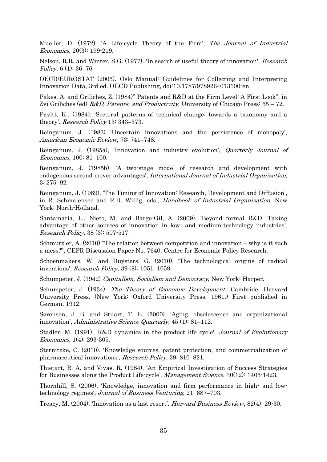Mueller, D. (1972). 'A Life-cycle Theory of the Firm', The Journal of Industrial Economics, 20(3): 199-219.

Nelson, R.R. and Winter, S.G. (1977). 'In search of useful theory of innovation', Research Policy, 6 (1): 36–76.

OECD/EUROSTAT (2005). Oslo Manual: Guidelines for Collecting and Interpreting Innovation Data, 3rd ed. OECD Publishing, doi:10.1787/9789264013100-en.

Pakes, A. and Griliches, Z. (1984)" Patents and R&D at the Firm Level: A First Look", in Zvi Griliches (ed) R&D, Patents, and Productivity, University of Chicago Press:  $55-72$ .

Pavitt, K., (1984). 'Sectoral patterns of technical change: towards a taxonomy and a theory'. Research Policy 13: 343–373.

Reinganum, J. (1983) 'Uncertain innovations and the persistence of monopoly', American Economic Review, 73: 741–748.

Reinganum, J. (1985a), 'Innovation and industry evolution', Quarterly Journal of Economics, 100: 81–100.

Reinganum, J. (1985b), 'A two-stage model of research and development with endogenous second mover advantages', International Journal of Industrial Organization, 3: 275–92.

Reinganum, J. (1989), 'The Timing of Innovation: Research, Development and Diffusion', in R. Schmalensee and R.D. Willig, eds., Handbook of Industrial Organization, New York: North-Holland.

Santamaría, L., Nieto, M. and Barge-Gil, A. (2009). 'Beyond formal R&D: Taking advantage of other sources of innovation in low- and medium-technology industries'. Research Policy, 38 (3): 507-517.

Schmutzler, A. (2010) "The relation between competition and innovation – why is it such a mess?", CEPR Discussion Paper No. 7640, Centre for Economic Policy Research.

Schoenmakers, W. and Duysters, G. (2010). 'The technological origins of radical inventions', Research Policy, 39 (8): 1051–1059.

Schumpeter, J. (1942) Capitalism, Socialism and Democracy, New York: Harper.

Schumpeter, J. (1934). The Theory of Economic Development. Cambride: Harvard University Press. (New York: Oxford University Press, 1961.) First published in German, 1912.

Sørensen, J. B. and Stuart, T. E. (2000). 'Aging, obsolescence and organizational innovation', Administrative Science Quarterly, 45 (1): 81–112.

Stadler, M. (1991), 'R&D dynamics in the product life cycle', Journal of Evolutionary Economics, 1(4): 293-305.

Sternitzke, C. (2010), 'Knowledge sources, patent protection, and commercialization of pharmaceutical innovations', Research Policy, 39: 810–821.

Thietart, R. A. and Vivas, R. (1984), 'An Empirical Investigation of Success Strategies for Businesses along the Product Life-cycle', Management Science, 30(12): 1405-1423.

Thornhill, S. (2006). 'Knowledge, innovation and firm performance in high- and lowtechnology regimes', Journal of Business Venturing, 21: 687–703.

Treacy, M. (2004). 'Innovation as a last resort'. Harvard Business Review, 82(4): 29-30.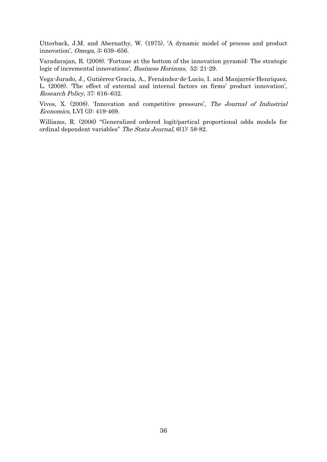Utterback, J.M. and Abernathy, W. (1975), 'A dynamic model of process and product innovation', Omega, 3: 639–656.

Varadarajan, R. (2008). 'Fortune at the bottom of the innovation pyramid: The strategic logic of incremental innovations', Business Horizons, 52: 21-29.

Vega-Jurado, J., Gutiérrez-Gracia, A., Fernández-de-Lucio, I. and Manjarrés-Henríquez, L. (2008). 'The effect of external and internal factors on firms' product innovation', Research Policy, 37: 616–632.

Vives, X. (2008). 'Innovation and competitive pressure', The Journal of Industrial Economics, LVI (3): 419-469.

Williams, R. (2006) "Generalized ordered logit/partical proportional odds models for ordinal dependent variables" The Stata Journal, 6(1): 58-82.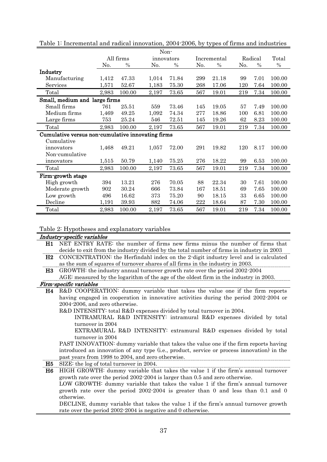|                                                   |       |           | Non-       |       |     |             |     |         |        |
|---------------------------------------------------|-------|-----------|------------|-------|-----|-------------|-----|---------|--------|
|                                                   |       | All firms | innovators |       |     | Incremental |     | Radical | Total  |
|                                                   | No.   | $\%$      | No.        | $\%$  | No. | $\%$        | No. | $\%$    | $\%$   |
| Industry                                          |       |           |            |       |     |             |     |         |        |
| Manufacturing                                     | 1,412 | 47.33     | 1,014      | 71.84 | 299 | 21.18       | 99  | 7.01    | 100.00 |
| Services                                          | 1,571 | 52.67     | 1,183      | 75.30 | 268 | 17.06       | 120 | 7.64    | 100.00 |
| Total                                             | 2,983 | 100.00    | 2,197      | 73.65 | 567 | 19.01       | 219 | 7.34    | 100.00 |
| Small, medium and large firms                     |       |           |            |       |     |             |     |         |        |
| Small firms                                       | 761   | 25.51     | 559        | 73.46 | 145 | 19.05       | 57  | 7.49    | 100.00 |
| Medium firms                                      | 1,469 | 49.25     | 1,092      | 74.34 | 277 | 18.86       | 100 | 6.81    | 100.00 |
| Large firms                                       | 753   | 25.24     | 546        | 72.51 | 145 | 19.26       | 62  | 8.23    | 100.00 |
| Total                                             | 2,983 | 100.00    | 2,197      | 73.65 | 567 | 19.01       | 219 | 7.34    | 100.00 |
| Cumulative versus non-cumulative innovating firms |       |           |            |       |     |             |     |         |        |
| Cumulative                                        |       |           |            |       |     |             |     |         |        |
| innovators                                        | 1,468 | 49.21     | 1,057      | 72.00 | 291 | 19.82       | 120 | 8.17    | 100.00 |
| Non-cumulative                                    |       |           |            |       |     |             |     |         |        |
| innovators                                        | 1,515 | 50.79     | 1,140      | 75.25 | 276 | 18.22       | 99  | 6.53    | 100.00 |
| Total                                             | 2,983 | 100.00    | 2,197      | 73.65 | 567 | 19.01       | 219 | 7.34    | 100.00 |
| Firm-growth stage                                 |       |           |            |       |     |             |     |         |        |
| High growth                                       | 394   | 13.21     | 276        | 70.05 | 88  | 22.34       | 30  | 7.61    | 100.00 |
| Moderate growth                                   | 902   | 30.24     | 666        | 73.84 | 167 | 18.51       | 69  | 7.65    | 100.00 |
| Low growth                                        | 496   | 16.62     | 373        | 75.20 | 90  | 18.15       | 33  | 6.65    | 100.00 |
| Decline                                           | 1,191 | 39.93     | 882        | 74.06 | 222 | 18.64       | 87  | 7.30    | 100.00 |
| Total                                             | 2,983 | 100.00    | 2,197      | 73.65 | 567 | 19.01       | 219 | 7.34    | 100.00 |

Table 1: Incremental and radical innovation, 2004-2006, by types of firms and industries

#### Table 2: Hypotheses and explanatory variables

#### Industry-specific variables

H1 NET ENTRY RATE: the number of firms new firms minus the number of firms that decide to exit from the industry divided by the total number of firms in industry in 2003

- H2 CONCENTRATION: the Herfindahl index on the 2-digit industry level and is calculated as the sum of squares of turnover shares of all firms in the industry in 2003.
- H3 GROWTH: the industry annual turnover growth rate over the period 2002-2004 AGE: measured by the logarithm of the age of the oldest firm in the industry in 2003.

#### Firm-specific variables

H4 R&D COOPERATION: dummy variable that takes the value one if the firm reports having engaged in cooperation in innovative activities during the period 2002-2004 or 2004-2006, and zero otherwise.

R&D INTENSITY: total R&D expenses divided by total turnover in 2004.

INTRAMURAL R&D INTENSITY: intramural R&D expenses divided by total turnover in 2004

EXTRAMURAL R&D INTENSITY: extramural R&D expenses divided by total turnover in 2004

PAST INNOVATION: dummy variable that takes the value one if the firm reports having introduced an innovation of any type (i.e., product, service or process innovation) in the past years from 1998 to 2004, and zero otherwise.

H5 SIZE: the log of total turnover in 2004.

H6 HIGH GROWTH: dummy variable that takes the value 1 if the firm's annual turnover growth rate over the period 2002-2004 is larger than 0.5 and zero otherwise.

LOW GROWTH: dummy variable that takes the value 1 if the firm's annual turnover growth rate over the period 2002-2004 is greater than 0 and less than 0.1 and 0 otherwise.

DECLINE, dummy variable that takes the value 1 if the firm's annual turnover growth rate over the period 2002-2004 is negative and 0 otherwise.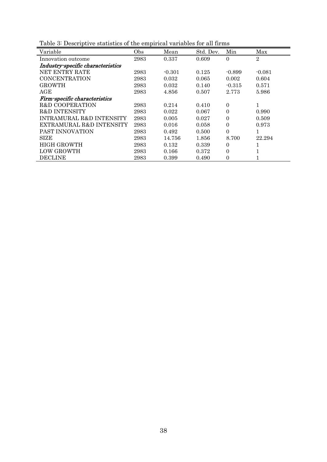|  | Table 3: Descriptive statistics of the empirical variables for all firms |  |
|--|--------------------------------------------------------------------------|--|
|  |                                                                          |  |

| Variable                          | Obs  | Mean     | Std. Dev. | Min            | Max            |
|-----------------------------------|------|----------|-----------|----------------|----------------|
| Innovation outcome                | 2983 | 0.337    | 0.609     | $\Omega$       | $\overline{2}$ |
| Industry-specific characteristics |      |          |           |                |                |
| NET ENTRY RATE                    | 2983 | $-0.301$ | 0.125     | $-0.899$       | $-0.081$       |
| <b>CONCENTRATION</b>              | 2983 | 0.032    | 0.065     | 0.002          | 0.604          |
| <b>GROWTH</b>                     | 2983 | 0.032    | 0.140     | $-0.315$       | 0.571          |
| AGE                               | 2983 | 4.856    | 0.507     | 2.773          | 5.986          |
| Firm-specific characteristics     |      |          |           |                |                |
| <b>R&amp;D COOPERATION</b>        | 2983 | 0.214    | 0.410     | $\theta$       |                |
| <b>R&amp;D INTENSITY</b>          | 2983 | 0.022    | 0.067     | $\overline{0}$ | 0.990          |
| INTRAMURAL R&D INTENSITY          | 2983 | 0.005    | 0.027     | $\Omega$       | 0.509          |
| EXTRAMURAL R&D INTENSITY          | 2983 | 0.016    | 0.058     | $\theta$       | 0.973          |
| PAST INNOVATION                   | 2983 | 0.492    | 0.500     | $\Omega$       | 1              |
| <b>SIZE</b>                       | 2983 | 14.756   | 1.856     | 8.700          | 22.294         |
| <b>HIGH GROWTH</b>                | 2983 | 0.132    | 0.339     | $\theta$       |                |
| <b>LOW GROWTH</b>                 | 2983 | 0.166    | 0.372     | $\Omega$       |                |
| <b>DECLINE</b>                    | 2983 | 0.399    | 0.490     | 0              |                |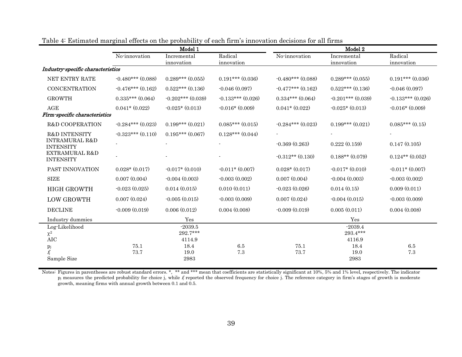|                                               |                       | Model 1                         |                       |                      | Model 2                         |                       |
|-----------------------------------------------|-----------------------|---------------------------------|-----------------------|----------------------|---------------------------------|-----------------------|
|                                               | No-innovation         | Incremental<br>innovation       | Radical<br>innovation | No-innovation        | Incremental<br>innovation       | Radical<br>innovation |
| Industry-specific characteristics             |                       |                                 |                       |                      |                                 |                       |
| NET ENTRY RATE                                | $-0.480***$ (0.088)   | $0.289***$ $(0.055)$            | $0.191***$ $(0.036)$  | $-0.480***$ (0.088)  | $0.289***$ $(0.055)$            | $0.191***$ $(0.036)$  |
| <b>CONCENTRATION</b>                          | $-0.476***$ (0.162)   | $0.522***$ $(0.136)$            | $-0.046(0.097)$       | $-0.477***$ (0.162)  | $0.522***$ $(0.136)$            | $-0.046(0.097)$       |
| <b>GROWTH</b>                                 | $0.335***$ $(0.064)$  | $-0.202***$ (0.039)             | $-0.133***$ $(0.026)$ | $0.334***$ $(0.064)$ | $-0.201***$ (0.039)             | $-0.133***$ (0.026)   |
| AGE<br>Firm-specific characteristics          | $0.041*$ (0.022)      | $-0.025*(0.013)$                | $-0.016*(0.009)$      | $0.041*(0.022)$      | $-0.025*(0.013)$                | $-0.016*(0.009)$      |
| <b>R&amp;D COOPERATION</b>                    | $-0.284***$ (0.023)   | $0.199***$ $(0.021)$            | $0.085***$ $(0.015)$  | $-0.284***$ (0.023)  | $0.199***$ $(0.021)$            | $0.085***(0.15)$      |
| <b>R&amp;D INTENSITY</b>                      | $-0.323***$ $(0.110)$ | $0.195***$ $(0.067)$            | $0.128***$ $(0.044)$  |                      |                                 |                       |
| <b>INTRAMURAL R&amp;D</b><br><b>INTENSITY</b> |                       |                                 |                       | $-0.369(0.263)$      | 0.222(0.159)                    | 0.147(0.105)          |
| EXTRAMURAL R&D<br><b>INTENSITY</b>            |                       |                                 |                       | $-0.312**$ $(0.130)$ | $0.188**$ $(0.079)$             | $0.124**$ $(0.052)$   |
| PAST INNOVATION                               | $0.028*(0.017)$       | $-0.017*(0.010)$                | $-0.011*(0.007)$      | $0.028*(0.017)$      | $-0.017*(0.010)$                | $-0.011*(0.007)$      |
| <b>SIZE</b>                                   | 0.007(0.004)          | $-0.004(0.003)$                 | $-0.003(0.002)$       | 0.007(0.004)         | $-0.004(0.003)$                 | $-0.003(0.002)$       |
| <b>HIGH GROWTH</b>                            | $-0.023(0.025)$       | 0.014(0.015)                    | 0.010(0.011)          | $-0.023(0.026)$      | 0.014(0.15)                     | 0.009(0.011)          |
| <b>LOW GROWTH</b>                             | 0.007(0.024)          | $-0.005(0.015)$                 | $-0.003(0.009)$       | 0.007(0.024)         | $-0.004(0.015)$                 | $-0.003(0.009)$       |
| <b>DECLINE</b>                                | $-0.009(0.019)$       | 0.006(0.012)                    | 0.004(0.008)          | $-0.009(0.019)$      | 0.005(0.011)                    | 0.004(0.008)          |
| Industry dummies                              |                       | Yes                             |                       |                      | Yes                             |                       |
| Log-Likelihood<br>$\chi^2$<br><b>AIC</b>      |                       | $-2039.5$<br>292.7***<br>4114.9 |                       |                      | $-2039.4$<br>293.4***<br>4116.9 |                       |
| p <sub>j</sub><br>fi<br>Sample Size           | 75.1<br>73.7          | 18.4<br>19.0<br>2983            | 6.5<br>7.3            | 75.1<br>73.7         | 18.4<br>19.0<br>2983            | $6.5\,$<br>7.3        |

Table 4: Estimated marginal effects on the probability of each firm's innovation decisions for all firms

Notes: Figures in parentheses are robust standard errors. \*, \*\* and \*\*\* mean that coefficients are statistically significant at 10%, 5% and 1% level, respectively. The indicator  $p_j$  measures the predicted probability for choice j, while  $f_j$  reported the observed frequency for choice j. The reference category in firm's stages of growth is moderate growth, meaning firms with annual growth between 0.1 and 0.5.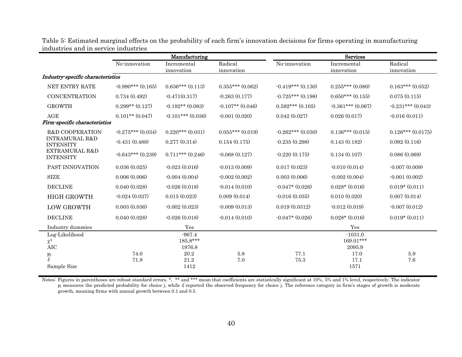|                                               |                     | Manufacturing        |                    |                       | Services              |                       |
|-----------------------------------------------|---------------------|----------------------|--------------------|-----------------------|-----------------------|-----------------------|
|                                               | No-innovation       | Incremental          | Radical            | No-innovation         | Incremental           | Radical               |
|                                               |                     | innovation           | innovation         |                       | innovation            | innovation            |
| Industry-specific characteristics             |                     |                      |                    |                       |                       |                       |
| NET ENTRY RATE                                | $-0.990***$ (0.165) | $0.636***(0.113)$    | $0.355***$ (0.062) | $-0.419***$ (0.130)   | $0.255***(0.080)$     | $0.163***(0.052)$     |
| <b>CONCENTRATION</b>                          | 0.734(0.492)        | $-0.471(0.317)$      | $-0.263(0.177)$    | $-0.725***$ $(0.198)$ | $0.650***$ $(0.155)$  | 0.075(0.115)          |
| <b>GROWTH</b>                                 | $0.299**$ $(0.127)$ | $-0.192**$ (0.083)   | $-0.107**$ (0.046) | $0.592***$ $(0.105)$  | $-0.361***$ $(0.067)$ | $-0.231***$ (0.043)   |
| AGE<br>Firm-specific characteristics          | $0.101**$ (0.047)   | $-0.101***$ (0.036)  | $-0.001(0.020)$    | 0.042(0.027)          | 0.026(0.017)          | $-0.016(0.011)$       |
|                                               |                     |                      |                    |                       |                       |                       |
| <b>R&amp;D COOPERATION</b>                    | $-0.275***$ (0.034) | $0.220***$ $(0.031)$ | $0.055***$ (0.019) | $-0.262***$ (0.030)   | $0.136***$ $(0.015)$  | $0.126***$ $(0.0175)$ |
| <b>INTRAMURAL R&amp;D</b><br><b>INTENSITY</b> | $-0.431(0.488)$     | 0.277(0.314)         | 0.154(0.175)       | $-0.235(0.298)$       | 0.143(0.182)          | 0.092(0.116)          |
| EXTRAMURAL R&D<br><b>INTENSITY</b>            | $-0.643***$ (0.239) | $0.711***$ $(0.246)$ | $-0.068(0.127)$    | $-0.220(0.175)$       | 0.134(0.107)          | 0.086(0.069)          |
| PAST INNOVATION                               | 0.036(0.025)        | $-0.023(0.016)$      | $-0.013(0.009)$    | 0.017(0.023)          | $-0.010(0.014)$       | $-0.007(0.009)$       |
| <b>SIZE</b>                                   | 0.006(0.006)        | $-0.004(0.004)$      | $-0.002(0.002)$    | 0.003(0.006)          | $-0.002(0.004)$       | $-0.001(0.002)$       |
| <b>DECLINE</b>                                | 0.040(0.028)        | $-0.026(0.018)$      | $-0.014(0.010)$    | $-0.047*(0.026)$      | $0.028*(0.016)$       | $0.019*(0.011)$       |
| <b>HIGH GROWTH</b>                            | $-0.024(0.037)$     | 0.015(0.023)         | 0.009(0.014)       | $-0.016(0.035)$       | 0.010(0.020)          | 0.007(0.014)          |
| LOW GROWTH                                    | 0.003(0.036)        | $-0.002(0.023)$      | $-0.009(0.013)$    | 0.019(0.0312)         | $-0.012(0.019)$       | $-0.007(0.012)$       |
| <b>DECLINE</b>                                | 0.040(0.028)        | $-0.026(0.018)$      | $-0.014(0.010)$    | $-0.047*(0.026)$      | $0.028*(0.016)$       | $0.019*(0.011)$       |
| Industry dummies                              |                     | Yes                  |                    |                       | Yes                   |                       |
| Log-Likelihood                                |                     | $-967.4$             |                    |                       | $-1031.0$             |                       |
| $\chi^2$                                      |                     | 185.8***             |                    |                       | 169.01***             |                       |
| <b>AIC</b>                                    |                     | 1976.8               |                    |                       | 2095.9                |                       |
| $p_j$                                         | 74.0                | $20.2\,$             | 5.8                | 77.1                  | 17.0                  | 5.9                   |
| Sample Size                                   | 71.8                | 21.2<br>1412         | 7.0                | 75.3                  | 17.1<br>1571          | 7.6                   |
|                                               |                     |                      |                    |                       |                       |                       |

Table 5: Estimated marginal effects on the probability of each firm's innovation decisions for firms operating in manufacturing industries and in service industries

Notes: Figures in parentheses are robust standard errors. \*, \*\* and \*\*\* mean that coefficients are statistically significant at 10%, 5% and 1% level, respectively. The indicator  $p_j$  measures the predicted probability for choice j, while  $f_j$  reported the observed frequency for choice j. The reference category in firm's stages of growth is moderate growth, meaning firms with annual growth between 0.1 and 0.5.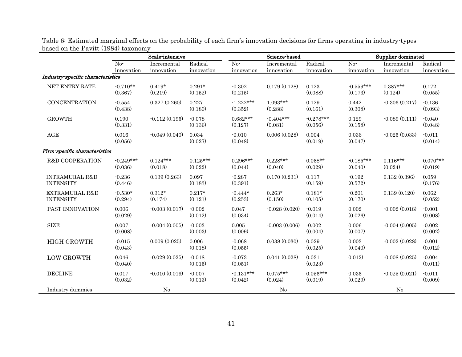|                                               | Scale intensive        |                       |                       |                        | Science based          |                        | Supplier dominated     |                       |                       |
|-----------------------------------------------|------------------------|-----------------------|-----------------------|------------------------|------------------------|------------------------|------------------------|-----------------------|-----------------------|
|                                               | No-                    | Incremental           | Radical               | No-                    | Incremental            | Radical                | No-                    | Incremental           | Radical               |
|                                               | innovation             | innovation            | innovation            | innovation             | innovation             | innovation             | innovation             | innovation            | innovation            |
| Industry-specific characteristics             |                        |                       |                       |                        |                        |                        |                        |                       |                       |
| NET ENTRY RATE                                | $-0.710**$<br>(0.367)  | $0.419*$<br>(0.219)   | $0.291*$<br>(0.152)   | $-0.302$<br>(0.215)    | 0.179(0.128)           | 0.123<br>(0.088)       | $-0.559***$<br>(0.173) | $0.387***$<br>(0.124) | 0.172<br>(0.055)      |
| <b>CONCENTRATION</b>                          | $-0.554$<br>(0.438)    | 0.327(0.260)          | 0.227<br>(0.180)      | $-1.222***$<br>(0.352) | $1.093***$<br>(0.288)  | 0.129<br>(0.161)       | 0.442<br>(0.308)       | $-0.306(0.217)$       | $-0.136$<br>(0.093)   |
| <b>GROWTH</b>                                 | 0.190<br>(0.331)       | $-0.112(0.195)$       | $-0.078$<br>(0.136)   | $0.682***$<br>(0.127)  | $-0.404***$<br>(0.081) | $-0.278***$<br>(0.056) | 0.129<br>(0.158)       | $-0.089(0.111)$       | $-0.040$<br>(0.048)   |
| $\rm AGE$                                     | 0.016<br>(0.056)       | $-0.049(0.040)$       | 0.034<br>(0.027)      | $-0.010$<br>(0.048)    | 0.006(0.028)           | 0.004<br>(0.019)       | 0.036<br>(0.047)       | $-0.025(0.033)$       | $-0.011$<br>(0.014)   |
| Firm-specific characteristics                 |                        |                       |                       |                        |                        |                        |                        |                       |                       |
| R&D COOPERATION                               | $-0.249***$<br>(0.036) | $0.124***$<br>(0.018) | $0.125***$<br>(0.022) | $0.296***$<br>(0.044)  | $0.228***$<br>(0.040)  | $0.068**$<br>(0.029)   | $-0.185***$<br>(0.040) | $0.116***$<br>(0.024) | $0.070***$<br>(0.019) |
| <b>INTRAMURAL R&amp;D</b><br><b>INTENSITY</b> | $-0.236$<br>(0.446)    | 0.139(0.263)          | 0.097<br>(0.183)      | $-0.287$<br>(0.391)    | 0.170(0.231)           | 0.117<br>(0.159)       | $-0.192$<br>(0.572)    | 0.132(0.396)          | 0.059<br>(0.176)      |
| EXTRAMURAL R&D<br><b>INTENSITY</b>            | $-0.530*$<br>(0.294)   | $0.312*$<br>(0.174)   | $0.217*$<br>(0.121)   | $-0.444*$<br>(0.253)   | $0.263*$<br>(0.150)    | $0.181*$<br>(0.105)    | $-0.201$<br>(0.170)    | 0.139(0.120)          | 0.062<br>(0.052)      |
| PAST INNOVATION                               | 0.006<br>(0.029)       | $-0.003(0.017)$       | $-0.002$<br>(0.012)   | 0.047<br>(0.034)       | $-0.028(0.020)$        | $-0.019$<br>(0.014)    | 0.002<br>(0.026)       | $-0.002(0.018)$       | $-0.001$<br>(0.008)   |
| ${\rm SIZE}$                                  | 0.007<br>(0.008)       | $-0.004(0.005)$       | $-0.003$<br>(0.003)   | 0.005<br>(0.009)       | $-0.003(0.006)$        | $-0.002$<br>(0.004)    | 0.006<br>(0.007)       | $-0.004(0.005)$       | $-0.002$<br>(0.002)   |
| <b>HIGH GROWTH</b>                            | $-0.015$<br>(0.043)    | 0.009(0.025)          | 0.006<br>(0.018)      | $-0.068$<br>(0.055)    | 0.038(0.030)           | 0.029<br>(0.025)       | 0.003<br>(0.040)       | $-0.002(0.028)$       | $-0.001$<br>(0.012)   |
| <b>LOW GROWTH</b>                             | 0.046<br>(0.040)       | $-0.029(0.025)$       | $-0.018$<br>(0.015)   | $-0.073$<br>(0.051)    | 0.041(0.028)           | 0.031<br>(0.023)       | 0.012)                 | $-0.008(0.025)$       | $-0.004$<br>(0.011)   |
| <b>DECLINE</b>                                | 0.017<br>(0.032)       | $-0.010(0.019)$       | $-0.007$<br>(0.013)   | $-0.131***$<br>(0.042) | $0.075***$<br>(0.024)  | $0.056***$<br>(0.019)  | 0.036<br>(0.029)       | $-0.025(0.021)$       | $-0.011$<br>(0.009)   |
| Industry dummies                              |                        | No                    |                       |                        | N <sub>o</sub>         |                        |                        | No                    |                       |

Table 6: Estimated marginal effects on the probability of each firm's innovation decisions for firms operating in industry-types based on the Pavitt (1984) taxonomy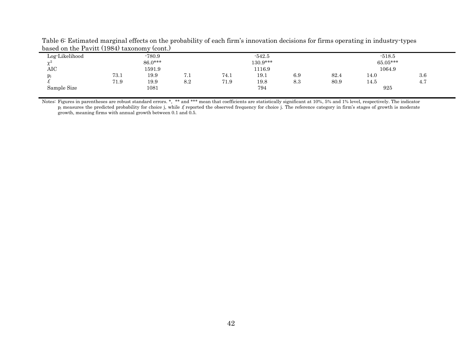Table 6: Estimated marginal effects on the probability of each firm's innovation decisions for firms operating in industry-types based on the Pavitt (1984) taxonomy (cont.)

| .                |          | $\cdots$ |          |          |      |     |          |          |      |  |
|------------------|----------|----------|----------|----------|------|-----|----------|----------|------|--|
| Log-Likelihood   | $-780.9$ |          |          | $-542.5$ |      |     |          | $-518.5$ |      |  |
| $\sim$<br>$\sim$ | 86.0***  |          |          | 130.9*** |      |     | 65.05*** |          |      |  |
| $\rm AIC$        | 1591.9   |          |          | 1116.9   |      |     | 1064.9   |          |      |  |
| pj               | 73.1     | 19.9     | $\cdots$ | 74.1     | 19.1 | 6.9 | 82.4     | 14.0     | 3.6  |  |
|                  | 71.9     | 19.9     | 8.2      | 71.9     | 19.8 | 8.3 | 80.9     | 14.5     | ±. ( |  |
| Sample Size      |          | 1081     |          |          | 794  |     |          | 925      |      |  |
|                  |          |          |          |          |      |     |          |          |      |  |

Notes: Figures in parentheses are robust standard errors. \*, \*\* and \*\*\* mean that coefficients are statistically significant at 10%, 5% and 1% level, respectively. The indicator  $p_j$  measures the predicted probability for choice j, while  $f_j$  reported the observed frequency for choice j. The reference category in firm's stages of growth is moderate growth, meaning firms with annual growth between 0.1 and 0.5.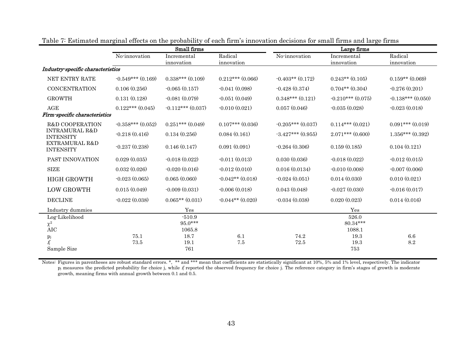|                                                                      |                      | Small firms                     |                       |                       | Large firms                 |                            |
|----------------------------------------------------------------------|----------------------|---------------------------------|-----------------------|-----------------------|-----------------------------|----------------------------|
|                                                                      | No-innovation        | Incremental<br>innovation       | Radical<br>innovation | No-innovation         | Incremental<br>innovation   | Radical<br>innovation      |
| Industry-specific characteristics                                    |                      |                                 |                       |                       |                             |                            |
| NET ENTRY RATE                                                       | $-0.549***$ (0.169)  | $0.338***$ $(0.109)$            | $0.212***$ (0.066)    | $-0.403**$ (0.172)    | $0.243**$ $(0.105)$         | $0.159**$ (0.069)          |
| <b>CONCENTRATION</b>                                                 | 0.106(0.256)         | $-0.065(0.157)$                 | $-0.041(0.098)$       | $-0.428(0.374)$       | $0.704**$ $(0.304)$         | $-0.276(0.201)$            |
| <b>GROWTH</b>                                                        | 0.131(0.128)         | $-0.081(0.079)$                 | $-0.051(0.049)$       | $0.348***$ $(0.121)$  | $-0.210***$ (0.075)         | $-0.138***$ $(0.050)$      |
| AGE<br>Firm-specific characteristics                                 | $0.122***$ $(0.045)$ | $-0.112***$ (0.037)             | $-0.010(0.021)$       | 0.057(0.046)          | $-0.035(0.028)$             | $-0.023(0.018)$            |
| <b>R&amp;D COOPERATION</b>                                           | $-0.358***$ (0.052)  | $0.251***$ $(0.049)$            | $0.107***$ $(0.036)$  | $-0.205***$ $(0.037)$ | $0.114***$ $(0.021)$        | $0.091***$ $(0.019)$       |
| <b>INTRAMURAL R&amp;D</b><br><b>INTENSITY</b>                        | $-0.218(0.416)$      | 0.134(0.256)                    | 0.084(0.161)          | $-3.427***$ (0.955)   | $2.071***$ (0.600)          | $1.356***$ $(0.392)$       |
| EXTRAMURAL R&D<br><b>INTENSITY</b>                                   | $-0.237(0.238)$      | 0.146(0.147)                    | 0.091(0.091)          | $-0.264(0.306)$       | 0.159(0.185)                | 0.104(0.121)               |
| PAST INNOVATION                                                      | 0.029(0.035)         | $-0.018(0.022)$                 | $-0.011(0.013)$       | 0.030(0.036)          | $-0.018(0.022)$             | $-0.012(0.015)$            |
| <b>SIZE</b>                                                          | 0.032(0.026)         | $-0.020(0.016)$                 | $-0.012(0.010)$       | 0.016(0.0134)         | $-0.010(0.008)$             | $-0.007(0.006)$            |
| <b>HIGH GROWTH</b>                                                   | $-0.023(0.065)$      | 0.065(0.060)                    | $-0.042**$ (0.018)    | $-0.024(0.051)$       | 0.014(0.030)                | 0.010(0.021)               |
| LOW GROWTH                                                           | 0.015(0.049)         | $-0.009(0.031)$                 | $-0.006(0.018)$       | 0.043(0.048)          | $-0.027(0.030)$             | $-0.016(0.017)$            |
| <b>DECLINE</b>                                                       | $-0.022(0.038)$      | $0.065**$ $(0.031)$             | $-0.044**$ (0.020)    | $-0.034(0.038)$       | 0.020(0.023)                | 0.014(0.016)               |
| Industry dummies                                                     |                      | Yes                             |                       |                       | Yes                         |                            |
| Log-Likelihood<br>$\chi^2$<br>AIC                                    |                      | $-510.9$<br>$95.0***$<br>1065.8 |                       |                       | 526.0<br>80.34***<br>1088.1 |                            |
| $\frac{\mathrm{p}_\mathrm{j}}{\mathrm{f}_\mathrm{j}}$<br>Sample Size | 75.1<br>73.5         | 18.7<br>19.1<br>761             | $6.1\,$<br>$7.5\,$    | 74.2<br>72.5          | 19.3<br>19.3<br>753         | $6.6\,$<br>$\!\!\!\!\!8.2$ |

Table 7: Estimated marginal effects on the probability of each firm's innovation decisions for small firms and large firms

Notes: Figures in parentheses are robust standard errors. \*, \*\* and \*\*\* mean that coefficients are statistically significant at 10%, 5% and 1% level, respectively. The indicator  $p_j$  measures the predicted probability for choice j, while  $f_j$  reported the observed frequency for choice j. The reference category in firm's stages of growth is moderate growth, meaning firms with annual growth between 0.1 and 0.5.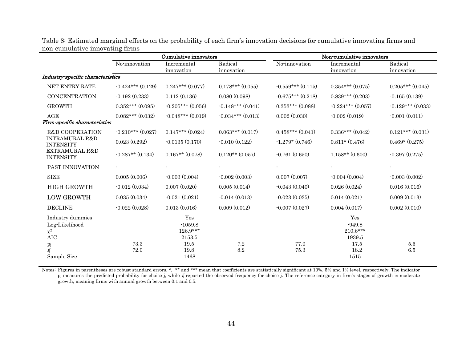|                                               |                      | Cumulative innovators           |                       | Non-cumulative innovators |                                  |                      |  |
|-----------------------------------------------|----------------------|---------------------------------|-----------------------|---------------------------|----------------------------------|----------------------|--|
|                                               | No-innovation        | Incremental                     | Radical               | No-innovation             | Incremental                      | Radical              |  |
| Industry-specific characteristics             |                      | innovation                      | innovation            |                           | innovation                       | innovation           |  |
| NET ENTRY RATE                                | $-0.424***$ (0.129)  | $0.247***$ $(0.077)$            | $0.178***$ $(0.055)$  | $-0.559***$ $(0.115)$     | $0.354***$ $(0.075)$             | $0.205***$ $(0.045)$ |  |
| <b>CONCENTRATION</b>                          | $-0.192(0.233)$      | 0.112(0.136)                    | 0.080(0.098)          | $-0.675***$ (0.218)       | $0.839***$ $(0.203)$             | $-0.165(0.139)$      |  |
| <b>GROWTH</b>                                 | $0.352***$ $(0.095)$ | $-0.205***$ (0.056)             | $-0.148***$ $(0.041)$ | $0.353***$ $(0.088)$      | $-0.224***$ (0.057)              | $-0.129***$ (0.033)  |  |
| AGE                                           | $0.082***$ $(0.032)$ | $-0.048***$ (0.019)             | $-0.034***$ (0.013)   | 0.002(0.030)              | $-0.002(0.019)$                  | $-0.001(0.011)$      |  |
| Firm-specific characteristics                 |                      |                                 |                       |                           |                                  |                      |  |
| <b>R&amp;D COOPERATION</b>                    | $-0.210***$ (0.027)  | $0.147***$ $(0.024)$            | $0.063***$ $(0.017)$  | $0.458***$ $(0.041)$      | $0.336***$ $(0.042)$             | $0.121***$ $(0.031)$ |  |
| <b>INTRAMURAL R&amp;D</b><br><b>INTENSITY</b> | 0.023(0.292)         | $-0.0135(0.170)$                | $-0.010(0.122)$       | $-1.279*(0.746)$          | $0.811*(0.476)$                  | $0.469*(0.275)$      |  |
| EXTRAMURAL R&D<br><b>INTENSITY</b>            | $-0.287**$ (0.134)   | $0.167**$ $(0.078)$             | $0.120**$ (0.057)     | $-0.761(0.650)$           | $1.158**$ (0.600)                | $-0.397(0.275)$      |  |
| PAST INNOVATION                               |                      |                                 |                       |                           |                                  |                      |  |
| <b>SIZE</b>                                   | 0.005(0.006)         | $-0.003(0.004)$                 | $-0.002(0.003)$       | 0.007(0.007)              | $-0.004(0.004)$                  | $-0.003(0.002)$      |  |
| <b>HIGH GROWTH</b>                            | $-0.012(0.034)$      | 0.007(0.020)                    | 0.005(0.014)          | $-0.043(0.040)$           | 0.026(0.024)                     | 0.016(0.016)         |  |
| LOW GROWTH                                    | 0.035(0.034)         | $-0.021(0.021)$                 | $-0.014(0.013)$       | $-0.023(0.035)$           | 0.014(0.021)                     | 0.009(0.013)         |  |
| <b>DECLINE</b>                                | $-0.022(0.028)$      | 0.013(0.016)                    | 0.009(0.012)          | $-0.007(0.027)$           | 0.004(0.017)                     | 0.002(0.010)         |  |
| Industry dummies                              |                      | Yes                             |                       |                           | Yes                              |                      |  |
| Log-Likelihood<br>$\chi^2$<br><b>AIC</b>      |                      | $-1059.8$<br>126.9***<br>2153.5 |                       |                           | $-949.8$<br>$210.6***$<br>1939.5 |                      |  |
| $p_j$<br>$f_1$<br>Sample Size                 | 73.3<br>72.0         | 19.5<br>19.8<br>1468            | $\!\!7.2$<br>8.2      | 77.0<br>75.3              | 17.5<br>18.2<br>1515             | 5.5<br>6.5           |  |

Table 8: Estimated marginal effects on the probability of each firm's innovation decisions for cumulative innovating firms and non-cumulative innovating firms

Notes: Figures in parentheses are robust standard errors. \*, \*\* and \*\*\* mean that coefficients are statistically significant at 10%, 5% and 1% level, respectively. The indicator  $p_j$  measures the predicted probability for choice j, while  $f_i$  reported the observed frequency for choice j. The reference category in firm's stages of growth is moderate growth, meaning firms with annual growth between 0.1 and 0.5.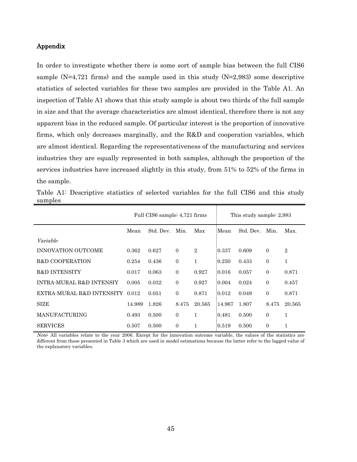#### Appendix

In order to investigate whether there is some sort of sample bias between the full CIS6 sample  $(N=4,721$  firms) and the sample used in this study  $(N=2,983)$  some descriptive statistics of selected variables for these two samples are provided in the Table A1. An inspection of Table A1 shows that this study sample is about two thirds of the full sample in size and that the average characteristics are almost identical, therefore there is not any apparent bias in the reduced sample. Of particular interest is the proportion of innovative firms, which only decreases marginally, and the R&D and cooperation variables, which are almost identical. Regarding the representativeness of the manufacturing and services industries they are equally represented in both samples, although the proportion of the services industries have increased slightly in this study, from 51% to 52% of the firms in the sample.

|                                     | Full CIS6 sample: 4,721 firms |           |                | This study sample: $2,983$ |        |           |                |                |
|-------------------------------------|-------------------------------|-----------|----------------|----------------------------|--------|-----------|----------------|----------------|
|                                     | Mean                          | Std. Dev. | Min.           | Max                        | Mean   | Std. Dev. | Min.           | Max.           |
| Variable                            |                               |           |                |                            |        |           |                |                |
| INNOVATION OUTCOME                  | 0.362                         | 0.627     | $\mathbf{0}$   | $\overline{2}$             | 0.337  | 0.609     | $\Omega$       | $\overline{2}$ |
| R&D COOPERATION                     | 0.254                         | 0.436     | $\theta$       | $\mathbf{1}$               | 0.250  | 0.433     | $\mathbf{0}$   | 1              |
| <b>R&amp;D INTENSITY</b>            | 0.017                         | 0.063     | $\theta$       | 0.927                      | 0.016  | 0.057     | $\Omega$       | 0.871          |
| <b>INTRA-MURAL R&amp;D INTENSIY</b> | 0.005                         | 0.032     | $\theta$       | 0.927                      | 0.004  | 0.024     | $\Omega$       | 0.457          |
| EXTRA-MURAL R&D INTENSITY           | 0.012                         | 0.051     | $\Omega$       | 0.871                      | 0.012  | 0.049     | $\Omega$       | 0.871          |
| SIZE                                | 14.989                        | 1.826     | 8.475          | 20.565                     | 14.967 | 1.807     | 8.475          | 20.565         |
| <b>MANUFACTURING</b>                | 0.493                         | 0.500     | $\overline{0}$ | $\mathbf{1}$               | 0.481  | 0.500     | $\overline{0}$ | 1              |
| <b>SERVICES</b>                     | 0.507                         | 0.500     | $\theta$       | $\mathbf{1}$               | 0.519  | 0.500     | $\overline{0}$ | 1              |

Table A1: Descriptive statistics of selected variables for the full CIS6 and this study samples

Note: All variables relate to the year 2006. Except for the innovation outcome variable, the values of the statistics are different from those presented in Table 3 which are used in model estimations because the latter refer to the lagged value of the explanatory variables.